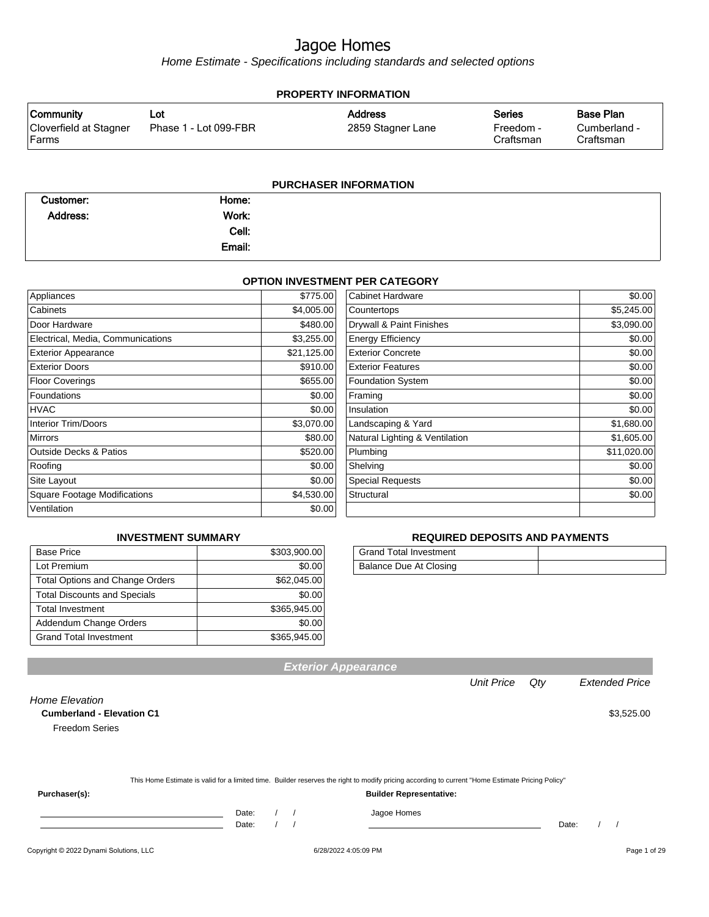Home Estimate - Specifications including standards and selected options

| <b>PROPERTY INFORMATION</b>      |                       |                   |                        |                           |  |  |
|----------------------------------|-----------------------|-------------------|------------------------|---------------------------|--|--|
| <b>Community</b>                 | ∟ot⊹                  | <b>Address</b>    | <b>Series</b>          | <b>Base Plan</b>          |  |  |
| Cloverfield at Stagner<br> Farms | Phase 1 - Lot 099-FBR | 2859 Stagner Lane | Freedom -<br>Craftsman | Cumberland -<br>Craftsman |  |  |
|                                  |                       |                   |                        |                           |  |  |

#### **PURCHASER INFORMATION**

| Customer: | Home:  |  |
|-----------|--------|--|
| Address:  | Work:  |  |
|           | Cell:  |  |
|           | Email: |  |

#### **OPTION INVESTMENT PER CATEGORY**

| Appliances                          | \$775.00    | Cabinet Hardware               | \$0.00      |
|-------------------------------------|-------------|--------------------------------|-------------|
| Cabinets                            | \$4,005.00  | Countertops                    | \$5,245.00  |
| Door Hardware                       | \$480.00    | Drywall & Paint Finishes       | \$3,090.00  |
| Electrical, Media, Communications   | \$3,255.00  | <b>Energy Efficiency</b>       | \$0.00      |
| <b>Exterior Appearance</b>          | \$21,125.00 | <b>Exterior Concrete</b>       | \$0.00      |
| <b>Exterior Doors</b>               | \$910.00    | <b>Exterior Features</b>       | \$0.00      |
| <b>Floor Coverings</b>              | \$655.00    | <b>Foundation System</b>       | \$0.00      |
| Foundations                         | \$0.00      | Framing                        | \$0.00      |
| <b>HVAC</b>                         | \$0.00      | Insulation                     | \$0.00      |
| <b>Interior Trim/Doors</b>          | \$3,070.00  | Landscaping & Yard             | \$1,680.00  |
| <b>Mirrors</b>                      | \$80.00     | Natural Lighting & Ventilation | \$1,605.00  |
| <b>Outside Decks &amp; Patios</b>   | \$520.00    | Plumbing                       | \$11,020.00 |
| Roofing                             | \$0.00      | Shelving                       | \$0.00      |
| Site Layout                         | \$0.00      | <b>Special Requests</b>        | \$0.00      |
| <b>Square Footage Modifications</b> | \$4,530.00  | Structural                     | \$0.00      |
| Ventilation                         | \$0.00      |                                |             |

#### **INVESTMENT SUMMARY**

| <b>Base Price</b>                      | \$303,900.00 |
|----------------------------------------|--------------|
| Lot Premium                            | \$0.00       |
| <b>Total Options and Change Orders</b> | \$62,045.00  |
| <b>Total Discounts and Specials</b>    | \$0.00       |
| <b>Total Investment</b>                | \$365,945.00 |
| Addendum Change Orders                 | \$0.00       |
| <b>Grand Total Investment</b>          | \$365,945.00 |

#### **REQUIRED DEPOSITS AND PAYMENTS**

| <b>Grand Total Investment</b> |  |
|-------------------------------|--|
| Balance Due At Closing        |  |

Unit Price Qty Extended Price

| <b>Home Elevation</b><br><b>Cumberland - Elevation C1</b> |       |  |                                                                                                                                                  |       | \$3,525.00 |
|-----------------------------------------------------------|-------|--|--------------------------------------------------------------------------------------------------------------------------------------------------|-------|------------|
| <b>Freedom Series</b>                                     |       |  |                                                                                                                                                  |       |            |
|                                                           |       |  |                                                                                                                                                  |       |            |
|                                                           |       |  |                                                                                                                                                  |       |            |
|                                                           |       |  | This Home Estimate is valid for a limited time. Builder reserves the right to modify pricing according to current "Home Estimate Pricing Policy" |       |            |
| Purchaser(s):                                             |       |  | <b>Builder Representative:</b>                                                                                                                   |       |            |
|                                                           | Date: |  | Jagoe Homes                                                                                                                                      |       |            |
|                                                           | Date: |  |                                                                                                                                                  | Date: |            |

**Exterior Appearance**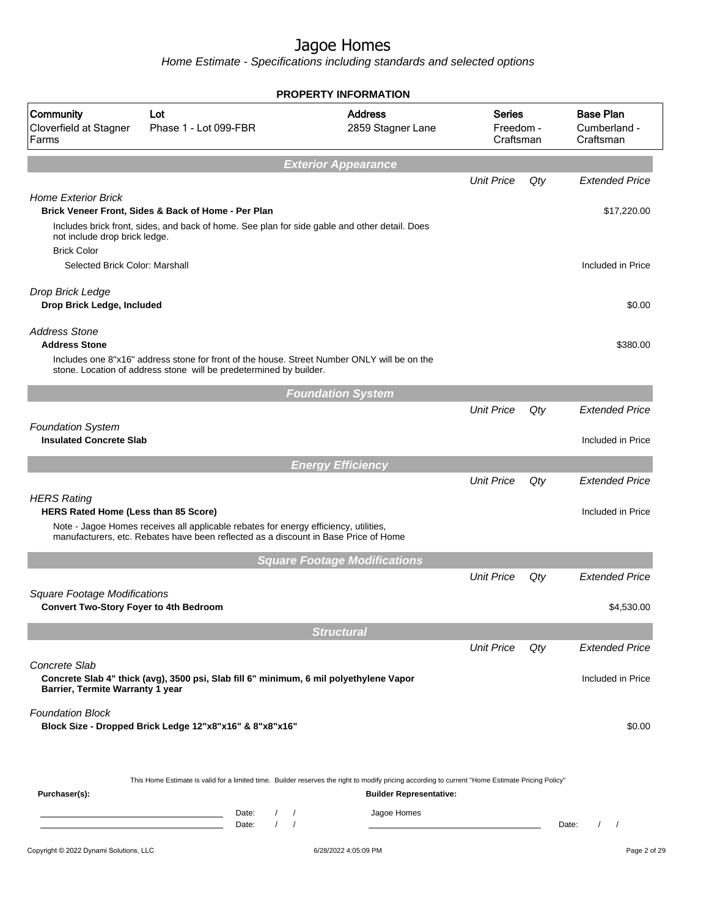Home Estimate - Specifications including standards and selected options

|                                                                                      |                                                                                                                                                                   | <b>PROPERTY INFORMATION</b>         |                                  |     |                                               |
|--------------------------------------------------------------------------------------|-------------------------------------------------------------------------------------------------------------------------------------------------------------------|-------------------------------------|----------------------------------|-----|-----------------------------------------------|
| Community<br>Cloverfield at Stagner<br>Farms                                         | Lot<br>Phase 1 - Lot 099-FBR                                                                                                                                      | <b>Address</b><br>2859 Stagner Lane | Series<br>Freedom -<br>Craftsman |     | <b>Base Plan</b><br>Cumberland -<br>Craftsman |
|                                                                                      |                                                                                                                                                                   | <b>Exterior Appearance</b>          |                                  |     |                                               |
|                                                                                      |                                                                                                                                                                   |                                     | <b>Unit Price</b>                | Qty | <b>Extended Price</b>                         |
| <b>Home Exterior Brick</b>                                                           | Brick Veneer Front, Sides & Back of Home - Per Plan                                                                                                               |                                     |                                  |     | \$17,220.00                                   |
| not include drop brick ledge.<br><b>Brick Color</b>                                  | Includes brick front, sides, and back of home. See plan for side gable and other detail. Does                                                                     |                                     |                                  |     |                                               |
| Selected Brick Color: Marshall                                                       |                                                                                                                                                                   |                                     |                                  |     | Included in Price                             |
| Drop Brick Ledge<br>Drop Brick Ledge, Included                                       |                                                                                                                                                                   |                                     |                                  |     | \$0.00                                        |
| <b>Address Stone</b><br><b>Address Stone</b>                                         |                                                                                                                                                                   |                                     |                                  |     | \$380.00                                      |
|                                                                                      | Includes one 8"x16" address stone for front of the house. Street Number ONLY will be on the<br>stone. Location of address stone will be predetermined by builder. |                                     |                                  |     |                                               |
|                                                                                      |                                                                                                                                                                   | <b>Foundation System</b>            |                                  |     |                                               |
|                                                                                      |                                                                                                                                                                   |                                     | <b>Unit Price</b>                | Qty | <b>Extended Price</b>                         |
| <b>Foundation System</b><br><b>Insulated Concrete Slab</b>                           |                                                                                                                                                                   |                                     |                                  |     | Included in Price                             |
|                                                                                      |                                                                                                                                                                   | <b>Energy Efficiency</b>            |                                  |     |                                               |
|                                                                                      |                                                                                                                                                                   |                                     | <b>Unit Price</b>                | Qty | <b>Extended Price</b>                         |
| <b>HERS Rating</b><br>HERS Rated Home (Less than 85 Score)                           | Note - Jagoe Homes receives all applicable rebates for energy efficiency, utilities,                                                                              |                                     |                                  |     | Included in Price                             |
|                                                                                      | manufacturers, etc. Rebates have been reflected as a discount in Base Price of Home                                                                               |                                     |                                  |     |                                               |
|                                                                                      |                                                                                                                                                                   | <b>Square Footage Modifications</b> |                                  |     |                                               |
|                                                                                      |                                                                                                                                                                   |                                     | <b>Unit Price</b>                | Qty | <b>Extended Price</b>                         |
| <b>Square Footage Modifications</b><br><b>Convert Two-Story Foyer to 4th Bedroom</b> |                                                                                                                                                                   |                                     |                                  |     | \$4,530.00                                    |
|                                                                                      |                                                                                                                                                                   |                                     |                                  |     |                                               |
|                                                                                      |                                                                                                                                                                   | <b>Structural</b>                   | <b>Unit Price</b>                | Qty | <b>Extended Price</b>                         |
| Concrete Slab                                                                        | Concrete Slab 4" thick (avg), 3500 psi, Slab fill 6" minimum, 6 mil polyethylene Vapor                                                                            |                                     |                                  |     | Included in Price                             |
| Barrier, Termite Warranty 1 year                                                     |                                                                                                                                                                   |                                     |                                  |     |                                               |
| <b>Foundation Block</b>                                                              | Block Size - Dropped Brick Ledge 12"x8"x16" & 8"x8"x16"                                                                                                           |                                     |                                  |     | \$0.00                                        |
|                                                                                      |                                                                                                                                                                   |                                     |                                  |     |                                               |
| Purchaser(s):                                                                        | This Home Estimate is valid for a limited time. Builder reserves the right to modify pricing according to current "Home Estimate Pricing Policy"                  | <b>Builder Representative:</b>      |                                  |     |                                               |
|                                                                                      | Date:<br>$\sqrt{2}$<br>$\prime$<br><u> 1989 - Johann Barn, mars eta inperiodo</u><br>$\prime$<br>Date:                                                            | Jagoe Homes                         |                                  |     | Date:<br>$\sqrt{ }$                           |
| Copyright © 2022 Dynami Solutions, LLC                                               |                                                                                                                                                                   | 6/28/2022 4:05:09 PM                |                                  |     | Page 2 of 29                                  |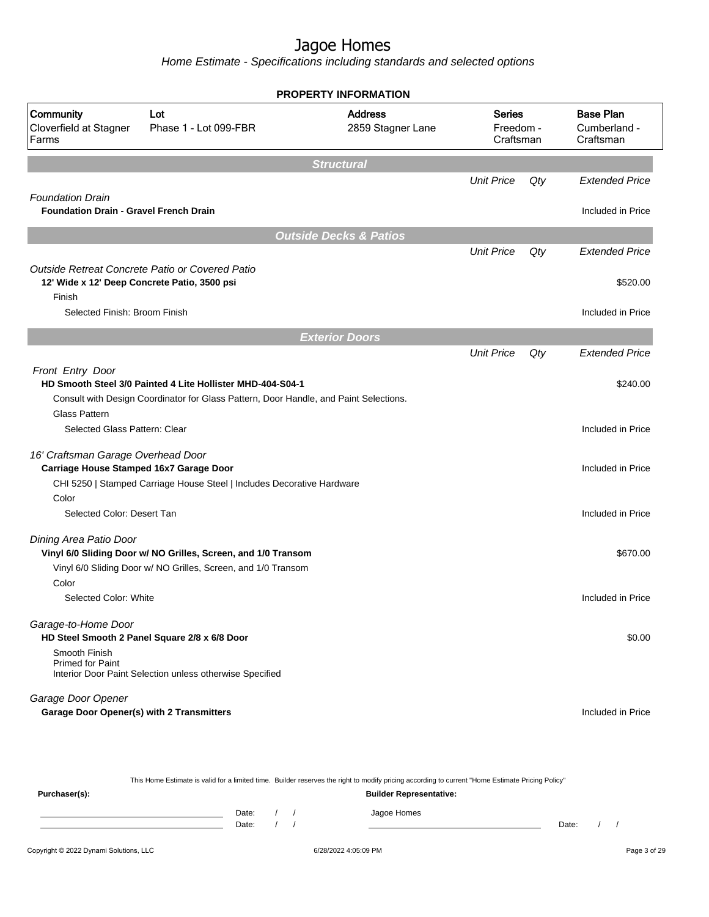Home Estimate - Specifications including standards and selected options

|                                                                          |                                                                                                                                                     | <b>PROPERTY INFORMATION</b>         |                   |                                         |                                               |
|--------------------------------------------------------------------------|-----------------------------------------------------------------------------------------------------------------------------------------------------|-------------------------------------|-------------------|-----------------------------------------|-----------------------------------------------|
| Community<br>Cloverfield at Stagner<br>Farms                             | Lot<br>Phase 1 - Lot 099-FBR                                                                                                                        | <b>Address</b><br>2859 Stagner Lane |                   | <b>Series</b><br>Freedom -<br>Craftsman | <b>Base Plan</b><br>Cumberland -<br>Craftsman |
|                                                                          |                                                                                                                                                     | <b>Structural</b>                   |                   |                                         |                                               |
|                                                                          |                                                                                                                                                     |                                     | <b>Unit Price</b> | Qty                                     | <b>Extended Price</b>                         |
| <b>Foundation Drain</b><br><b>Foundation Drain - Gravel French Drain</b> |                                                                                                                                                     |                                     |                   |                                         | Included in Price                             |
|                                                                          |                                                                                                                                                     | <b>Outside Decks &amp; Patios</b>   |                   |                                         |                                               |
|                                                                          |                                                                                                                                                     |                                     | <b>Unit Price</b> | Qty                                     | <b>Extended Price</b>                         |
| Finish                                                                   | Outside Retreat Concrete Patio or Covered Patio<br>12' Wide x 12' Deep Concrete Patio, 3500 psi                                                     |                                     |                   |                                         | \$520.00                                      |
| Selected Finish: Broom Finish                                            |                                                                                                                                                     |                                     |                   |                                         | Included in Price                             |
|                                                                          |                                                                                                                                                     | <b>Exterior Doors</b>               |                   |                                         |                                               |
|                                                                          |                                                                                                                                                     |                                     | <b>Unit Price</b> | Qty                                     | <b>Extended Price</b>                         |
| Front Entry Door                                                         | HD Smooth Steel 3/0 Painted 4 Lite Hollister MHD-404-S04-1<br>Consult with Design Coordinator for Glass Pattern, Door Handle, and Paint Selections. |                                     |                   |                                         | \$240.00                                      |
| <b>Glass Pattern</b><br>Selected Glass Pattern: Clear                    |                                                                                                                                                     |                                     |                   |                                         | Included in Price                             |
| 16' Craftsman Garage Overhead Door                                       | Carriage House Stamped 16x7 Garage Door                                                                                                             |                                     |                   |                                         | Included in Price                             |
|                                                                          | CHI 5250   Stamped Carriage House Steel   Includes Decorative Hardware                                                                              |                                     |                   |                                         |                                               |
| Color                                                                    |                                                                                                                                                     |                                     |                   |                                         |                                               |
| Selected Color: Desert Tan                                               |                                                                                                                                                     |                                     |                   |                                         | Included in Price                             |
| Dining Area Patio Door                                                   | Vinyl 6/0 Sliding Door w/ NO Grilles, Screen, and 1/0 Transom                                                                                       |                                     |                   |                                         | \$670.00                                      |
| Color                                                                    | Vinyl 6/0 Sliding Door w/ NO Grilles, Screen, and 1/0 Transom                                                                                       |                                     |                   |                                         |                                               |
| Selected Color: White                                                    |                                                                                                                                                     |                                     |                   |                                         | Included in Price                             |
| Garage-to-Home Door                                                      | HD Steel Smooth 2 Panel Square 2/8 x 6/8 Door                                                                                                       |                                     |                   |                                         | \$0.00                                        |
| Smooth Finish<br><b>Primed for Paint</b>                                 | Interior Door Paint Selection unless otherwise Specified                                                                                            |                                     |                   |                                         |                                               |
| Garage Door Opener<br><b>Garage Door Opener(s) with 2 Transmitters</b>   |                                                                                                                                                     |                                     |                   |                                         | Included in Price                             |

| This Home Estimate is valid for a limited time. Builder reserves the right to modify pricing according to current "Home Estimate Pricing Policy" |                                |  |  |  |             |       |  |
|--------------------------------------------------------------------------------------------------------------------------------------------------|--------------------------------|--|--|--|-------------|-------|--|
| Purchaser(s):                                                                                                                                    | <b>Builder Representative:</b> |  |  |  |             |       |  |
|                                                                                                                                                  | Date:                          |  |  |  | Jagoe Homes |       |  |
|                                                                                                                                                  | Date:                          |  |  |  |             | Date: |  |
|                                                                                                                                                  |                                |  |  |  |             |       |  |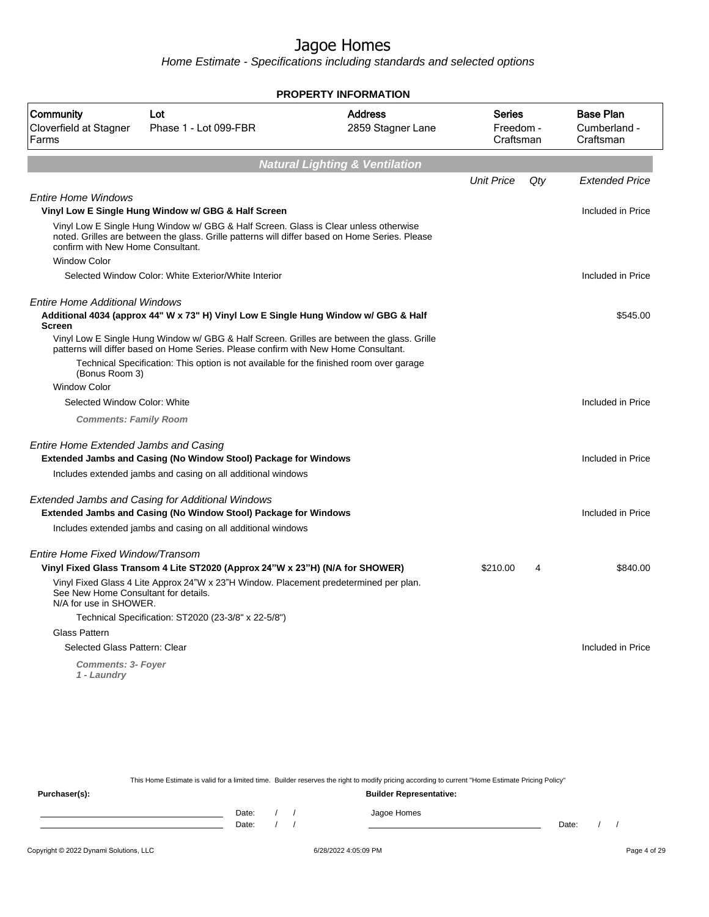Home Estimate - Specifications including standards and selected options

| <b>PROPERTY INFORMATION</b>                                               |                                                                                                                                                                                                                                                                          |                                                                                |                   |     |                                               |  |  |
|---------------------------------------------------------------------------|--------------------------------------------------------------------------------------------------------------------------------------------------------------------------------------------------------------------------------------------------------------------------|--------------------------------------------------------------------------------|-------------------|-----|-----------------------------------------------|--|--|
| Community<br>Cloverfield at Stagner<br>Farms                              | Lot<br>Phase 1 - Lot 099-FBR                                                                                                                                                                                                                                             | <b>Address</b><br><b>Series</b><br>2859 Stagner Lane<br>Freedom -<br>Craftsman |                   |     | <b>Base Plan</b><br>Cumberland -<br>Craftsman |  |  |
|                                                                           |                                                                                                                                                                                                                                                                          | <b>Natural Lighting &amp; Ventilation</b>                                      |                   |     |                                               |  |  |
|                                                                           |                                                                                                                                                                                                                                                                          |                                                                                | <b>Unit Price</b> | Qty | <b>Extended Price</b>                         |  |  |
| <b>Entire Home Windows</b>                                                | Vinyl Low E Single Hung Window w/ GBG & Half Screen                                                                                                                                                                                                                      |                                                                                |                   |     | Included in Price                             |  |  |
| confirm with New Home Consultant.                                         | Vinyl Low E Single Hung Window w/ GBG & Half Screen. Glass is Clear unless otherwise<br>noted. Grilles are between the glass. Grille patterns will differ based on Home Series. Please                                                                                   |                                                                                |                   |     |                                               |  |  |
| <b>Window Color</b>                                                       |                                                                                                                                                                                                                                                                          |                                                                                |                   |     |                                               |  |  |
|                                                                           | Selected Window Color: White Exterior/White Interior                                                                                                                                                                                                                     |                                                                                |                   |     | Included in Price                             |  |  |
| <b>Entire Home Additional Windows</b><br><b>Screen</b>                    | Additional 4034 (approx 44" W x 73" H) Vinyl Low E Single Hung Window w/ GBG & Half<br>Vinyl Low E Single Hung Window w/ GBG & Half Screen. Grilles are between the glass. Grille<br>patterns will differ based on Home Series. Please confirm with New Home Consultant. |                                                                                |                   |     | \$545.00                                      |  |  |
| (Bonus Room 3)                                                            | Technical Specification: This option is not available for the finished room over garage                                                                                                                                                                                  |                                                                                |                   |     |                                               |  |  |
| <b>Window Color</b>                                                       |                                                                                                                                                                                                                                                                          |                                                                                |                   |     |                                               |  |  |
| Selected Window Color: White                                              |                                                                                                                                                                                                                                                                          |                                                                                |                   |     | Included in Price                             |  |  |
| <b>Comments: Family Room</b>                                              |                                                                                                                                                                                                                                                                          |                                                                                |                   |     |                                               |  |  |
| Entire Home Extended Jambs and Casing                                     | <b>Extended Jambs and Casing (No Window Stool) Package for Windows</b><br>Includes extended jambs and casing on all additional windows                                                                                                                                   |                                                                                |                   |     | Included in Price                             |  |  |
|                                                                           | <b>Extended Jambs and Casing for Additional Windows</b><br>Extended Jambs and Casing (No Window Stool) Package for Windows<br>Includes extended jambs and casing on all additional windows                                                                               |                                                                                |                   |     | Included in Price                             |  |  |
| Entire Home Fixed Window/Transom<br>See New Home Consultant for details.  | Vinyl Fixed Glass Transom 4 Lite ST2020 (Approx 24"W x 23"H) (N/A for SHOWER)<br>Vinyl Fixed Glass 4 Lite Approx 24"W x 23"H Window. Placement predetermined per plan.                                                                                                   |                                                                                | \$210.00          | 4   | \$840.00                                      |  |  |
| N/A for use in SHOWER.                                                    |                                                                                                                                                                                                                                                                          |                                                                                |                   |     |                                               |  |  |
|                                                                           | Technical Specification: ST2020 (23-3/8" x 22-5/8")                                                                                                                                                                                                                      |                                                                                |                   |     |                                               |  |  |
| Glass Pattern                                                             |                                                                                                                                                                                                                                                                          |                                                                                |                   |     |                                               |  |  |
| Selected Glass Pattern: Clear<br><b>Comments: 3- Foyer</b><br>1 - Laundry |                                                                                                                                                                                                                                                                          |                                                                                |                   |     | Included in Price                             |  |  |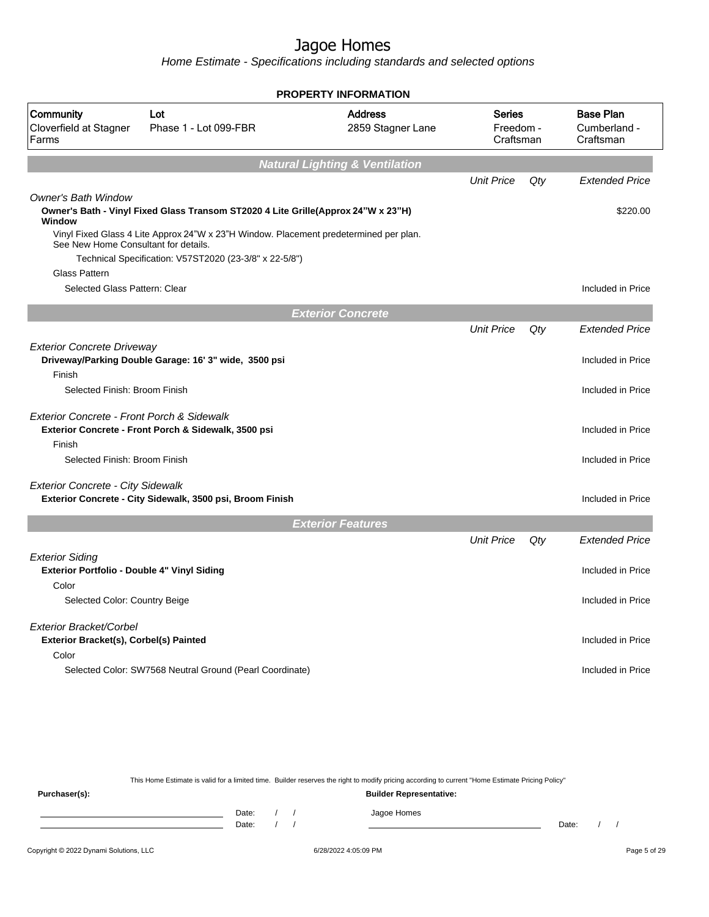Home Estimate - Specifications including standards and selected options

|                                                                       |                                                                                       | <b>PROPERTY INFORMATION</b>               |                                         |     |                                               |
|-----------------------------------------------------------------------|---------------------------------------------------------------------------------------|-------------------------------------------|-----------------------------------------|-----|-----------------------------------------------|
| Community<br>Cloverfield at Stagner<br>Farms                          | Lot<br>Phase 1 - Lot 099-FBR                                                          | <b>Address</b><br>2859 Stagner Lane       | <b>Series</b><br>Freedom -<br>Craftsman |     | <b>Base Plan</b><br>Cumberland -<br>Craftsman |
|                                                                       |                                                                                       | <b>Natural Lighting &amp; Ventilation</b> |                                         |     |                                               |
|                                                                       |                                                                                       |                                           | <b>Unit Price</b>                       | Qty | <b>Extended Price</b>                         |
| <b>Owner's Bath Window</b><br>Window                                  | Owner's Bath - Vinyl Fixed Glass Transom ST2020 4 Lite Grille(Approx 24"W x 23"H)     |                                           |                                         |     | \$220.00                                      |
| See New Home Consultant for details.                                  | Vinyl Fixed Glass 4 Lite Approx 24"W x 23"H Window. Placement predetermined per plan. |                                           |                                         |     |                                               |
|                                                                       | Technical Specification: V57ST2020 (23-3/8" x 22-5/8")                                |                                           |                                         |     |                                               |
| Glass Pattern                                                         |                                                                                       |                                           |                                         |     |                                               |
| Selected Glass Pattern: Clear                                         |                                                                                       |                                           |                                         |     | Included in Price                             |
|                                                                       |                                                                                       | <b>Exterior Concrete</b>                  |                                         |     |                                               |
|                                                                       |                                                                                       |                                           | <b>Unit Price</b>                       | Qty | Extended Price                                |
| <b>Exterior Concrete Driveway</b>                                     | Driveway/Parking Double Garage: 16' 3" wide, 3500 psi                                 |                                           |                                         |     | Included in Price                             |
| Finish<br>Selected Finish: Broom Finish                               |                                                                                       |                                           |                                         |     | Included in Price                             |
| Exterior Concrete - Front Porch & Sidewalk<br>Finish                  | Exterior Concrete - Front Porch & Sidewalk, 3500 psi                                  |                                           |                                         |     | Included in Price                             |
| Selected Finish: Broom Finish                                         |                                                                                       |                                           |                                         |     | Included in Price                             |
| <b>Exterior Concrete - City Sidewalk</b>                              |                                                                                       |                                           |                                         |     |                                               |
|                                                                       | Exterior Concrete - City Sidewalk, 3500 psi, Broom Finish                             |                                           |                                         |     | Included in Price                             |
|                                                                       |                                                                                       | <b>Exterior Features</b>                  |                                         |     |                                               |
|                                                                       |                                                                                       |                                           | <b>Unit Price</b>                       | Qty | <b>Extended Price</b>                         |
| <b>Exterior Siding</b><br>Exterior Portfolio - Double 4" Vinyl Siding |                                                                                       |                                           |                                         |     | Included in Price                             |
| Color                                                                 |                                                                                       |                                           |                                         |     |                                               |
| Selected Color: Country Beige                                         |                                                                                       |                                           |                                         |     | Included in Price                             |
| Exterior Bracket/Corbel<br>Exterior Bracket(s), Corbel(s) Painted     |                                                                                       |                                           |                                         |     | Included in Price                             |
| Color                                                                 | Selected Color: SW7568 Neutral Ground (Pearl Coordinate)                              |                                           |                                         |     | Included in Price                             |
|                                                                       |                                                                                       |                                           |                                         |     |                                               |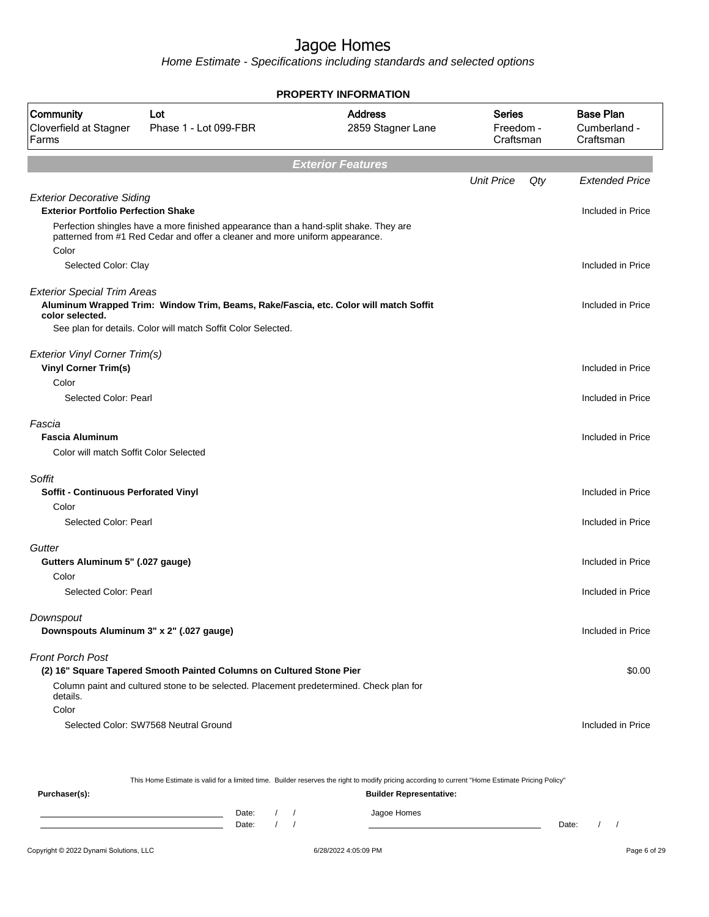Home Estimate - Specifications including standards and selected options

| <b>PROPERTY INFORMATION</b>                                                             |                                                                                                                                                                       |                                     |                                  |                                               |  |  |  |  |
|-----------------------------------------------------------------------------------------|-----------------------------------------------------------------------------------------------------------------------------------------------------------------------|-------------------------------------|----------------------------------|-----------------------------------------------|--|--|--|--|
| Community<br>Cloverfield at Stagner<br>Farms                                            | Lot<br>Phase 1 - Lot 099-FBR                                                                                                                                          | <b>Address</b><br>2859 Stagner Lane | Series<br>Freedom -<br>Craftsman | <b>Base Plan</b><br>Cumberland -<br>Craftsman |  |  |  |  |
|                                                                                         |                                                                                                                                                                       | <b>Exterior Features</b>            |                                  |                                               |  |  |  |  |
|                                                                                         |                                                                                                                                                                       |                                     | <b>Unit Price</b><br>Qty         | <b>Extended Price</b>                         |  |  |  |  |
| <b>Exterior Decorative Siding</b><br><b>Exterior Portfolio Perfection Shake</b>         | Perfection shingles have a more finished appearance than a hand-split shake. They are<br>patterned from #1 Red Cedar and offer a cleaner and more uniform appearance. |                                     |                                  | Included in Price                             |  |  |  |  |
| Color<br>Selected Color: Clay                                                           |                                                                                                                                                                       |                                     |                                  | Included in Price                             |  |  |  |  |
| <b>Exterior Special Trim Areas</b><br>color selected.                                   | Aluminum Wrapped Trim: Window Trim, Beams, Rake/Fascia, etc. Color will match Soffit<br>See plan for details. Color will match Soffit Color Selected.                 |                                     |                                  | Included in Price                             |  |  |  |  |
| Exterior Vinyl Corner Trim(s)<br><b>Vinyl Corner Trim(s)</b><br>Color                   |                                                                                                                                                                       |                                     |                                  | Included in Price                             |  |  |  |  |
| Selected Color: Pearl                                                                   |                                                                                                                                                                       |                                     |                                  | Included in Price                             |  |  |  |  |
| Fascia<br><b>Fascia Aluminum</b><br>Color will match Soffit Color Selected              |                                                                                                                                                                       |                                     |                                  | Included in Price                             |  |  |  |  |
| Soffit<br><b>Soffit - Continuous Perforated Vinyl</b><br>Color<br>Selected Color: Pearl |                                                                                                                                                                       |                                     |                                  | Included in Price<br>Included in Price        |  |  |  |  |
| Gutter<br>Gutters Aluminum 5" (.027 gauge)<br>Color                                     |                                                                                                                                                                       |                                     |                                  | Included in Price                             |  |  |  |  |
| Selected Color: Pearl                                                                   |                                                                                                                                                                       |                                     |                                  | Included in Price                             |  |  |  |  |
| Downspout<br>Downspouts Aluminum 3" x 2" (.027 gauge)                                   |                                                                                                                                                                       |                                     |                                  | Included in Price                             |  |  |  |  |
| <b>Front Porch Post</b><br>details.<br>Color                                            | (2) 16" Square Tapered Smooth Painted Columns on Cultured Stone Pier<br>Column paint and cultured stone to be selected. Placement predetermined. Check plan for       |                                     |                                  | \$0.00                                        |  |  |  |  |
|                                                                                         | Selected Color: SW7568 Neutral Ground                                                                                                                                 |                                     |                                  | Included in Price                             |  |  |  |  |
|                                                                                         | This Home Estimate is valid for a limited time. Builder reserves the right to modify pricing according to current "Home Estimate Pricing Policy"                      |                                     |                                  |                                               |  |  |  |  |
| Purchaser(s):                                                                           |                                                                                                                                                                       | <b>Builder Representative:</b>      |                                  |                                               |  |  |  |  |

Date: / / Jagoe Homes<br>Date: / / Jagoe Homes Date: / / Date: / /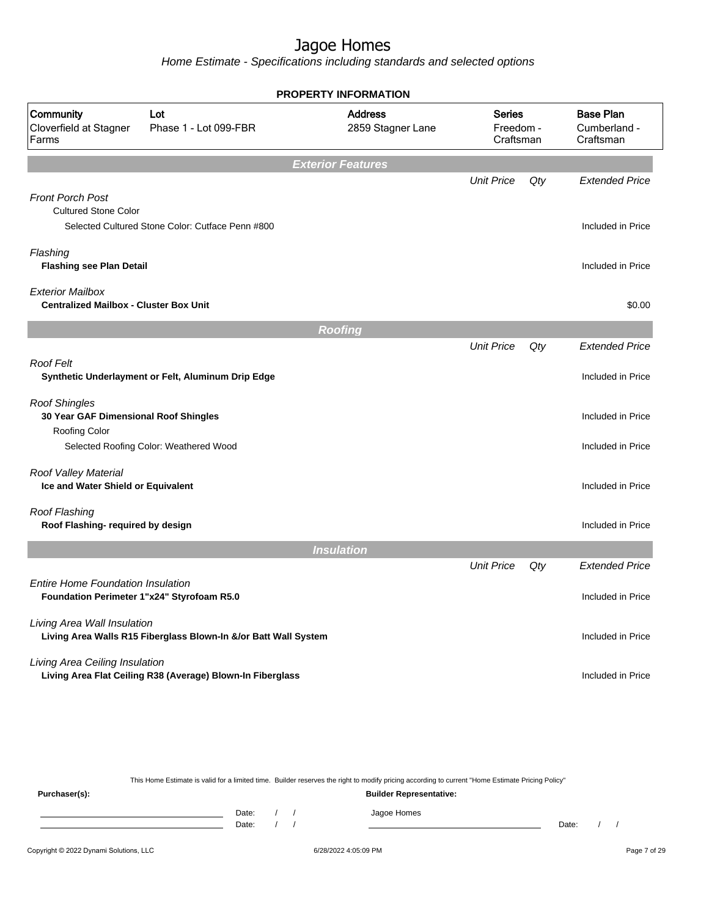Home Estimate - Specifications including standards and selected options

|                                                                                        |                                                                 | <b>PROPERTY INFORMATION</b>         |                                         |     |                                               |
|----------------------------------------------------------------------------------------|-----------------------------------------------------------------|-------------------------------------|-----------------------------------------|-----|-----------------------------------------------|
| Community<br>Cloverfield at Stagner<br>Farms                                           | Lot<br>Phase 1 - Lot 099-FBR                                    | <b>Address</b><br>2859 Stagner Lane | <b>Series</b><br>Freedom -<br>Craftsman |     | <b>Base Plan</b><br>Cumberland -<br>Craftsman |
|                                                                                        |                                                                 | <b>Exterior Features</b>            |                                         |     |                                               |
| <b>Front Porch Post</b>                                                                |                                                                 |                                     | <b>Unit Price</b>                       | Qty | <b>Extended Price</b>                         |
| <b>Cultured Stone Color</b>                                                            | Selected Cultured Stone Color: Cutface Penn #800                |                                     |                                         |     | Included in Price                             |
| Flashing<br><b>Flashing see Plan Detail</b>                                            |                                                                 |                                     |                                         |     | Included in Price                             |
| <b>Exterior Mailbox</b><br><b>Centralized Mailbox - Cluster Box Unit</b>               |                                                                 |                                     |                                         |     | \$0.00                                        |
|                                                                                        |                                                                 | <b>Roofing</b>                      |                                         |     |                                               |
|                                                                                        |                                                                 |                                     | <b>Unit Price</b>                       | Qty | <b>Extended Price</b>                         |
| <b>Roof Felt</b>                                                                       | Synthetic Underlayment or Felt, Aluminum Drip Edge              |                                     |                                         |     | Included in Price                             |
| <b>Roof Shingles</b><br>30 Year GAF Dimensional Roof Shingles                          |                                                                 |                                     |                                         |     | Included in Price                             |
| <b>Roofing Color</b>                                                                   | Selected Roofing Color: Weathered Wood                          |                                     |                                         |     | Included in Price                             |
| Roof Valley Material<br>Ice and Water Shield or Equivalent                             |                                                                 |                                     |                                         |     | Included in Price                             |
| Roof Flashing<br>Roof Flashing- required by design                                     |                                                                 |                                     |                                         |     | Included in Price                             |
|                                                                                        |                                                                 | <b>Insulation</b>                   |                                         |     |                                               |
|                                                                                        |                                                                 |                                     | <b>Unit Price</b>                       | Qty | <b>Extended Price</b>                         |
| <b>Entire Home Foundation Insulation</b><br>Foundation Perimeter 1"x24" Styrofoam R5.0 |                                                                 |                                     |                                         |     | Included in Price                             |
| Living Area Wall Insulation                                                            | Living Area Walls R15 Fiberglass Blown-In &/or Batt Wall System |                                     |                                         |     | Included in Price                             |
| Living Area Ceiling Insulation                                                         | Living Area Flat Ceiling R38 (Average) Blown-In Fiberglass      |                                     |                                         |     | Included in Price                             |

This Home Estimate is valid for a limited time. Builder reserves the right to modify pricing according to current "Home Estimate Pricing Policy"

**Purchaser(s): Builder Representative:** Date: / / Jagoe Homes<br>Date: / / Jagoe Homes Date: / / **Date: / / 2006** Date: / / / Date: / / /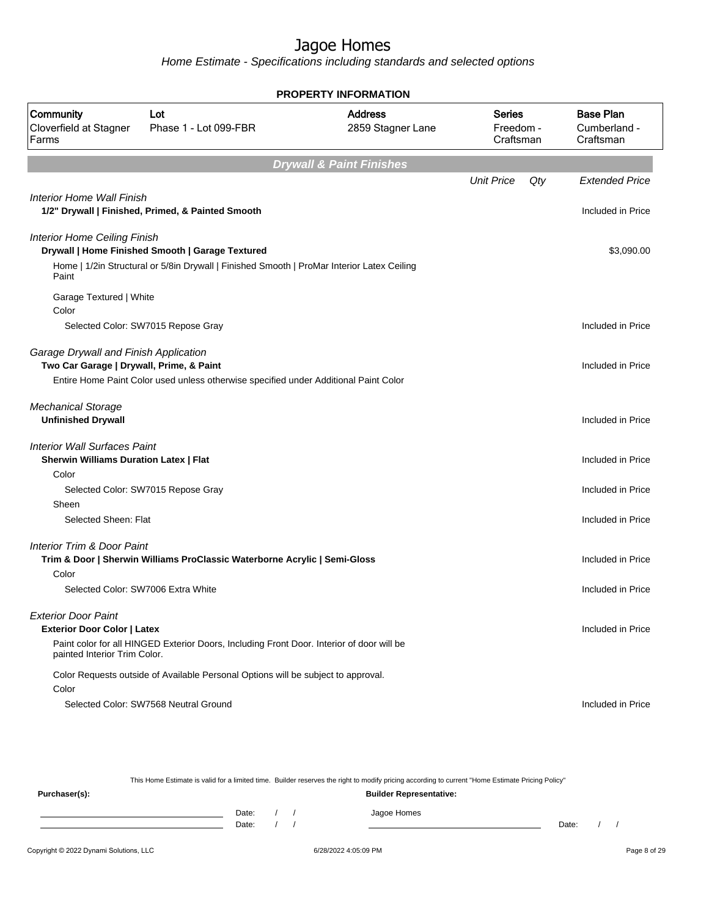Home Estimate - Specifications including standards and selected options

| <b>PROPERTY INFORMATION</b>                                                          |                                                                                                                                                |                                     |                                  |                                               |  |  |  |
|--------------------------------------------------------------------------------------|------------------------------------------------------------------------------------------------------------------------------------------------|-------------------------------------|----------------------------------|-----------------------------------------------|--|--|--|
| Community<br>Cloverfield at Stagner<br>Farms                                         | Lot<br>Phase 1 - Lot 099-FBR                                                                                                                   | <b>Address</b><br>2859 Stagner Lane | Series<br>Freedom -<br>Craftsman | <b>Base Plan</b><br>Cumberland -<br>Craftsman |  |  |  |
|                                                                                      |                                                                                                                                                | <b>Drywall &amp; Paint Finishes</b> |                                  |                                               |  |  |  |
|                                                                                      |                                                                                                                                                |                                     | <b>Unit Price</b>                | Qty<br><b>Extended Price</b>                  |  |  |  |
| Interior Home Wall Finish                                                            | 1/2" Drywall   Finished, Primed, & Painted Smooth                                                                                              |                                     |                                  | Included in Price                             |  |  |  |
| <b>Interior Home Ceiling Finish</b><br>Paint                                         | Drywall   Home Finished Smooth   Garage Textured<br>Home   1/2in Structural or 5/8in Drywall   Finished Smooth   ProMar Interior Latex Ceiling |                                     |                                  | \$3,090.00                                    |  |  |  |
| Garage Textured   White<br>Color                                                     |                                                                                                                                                |                                     |                                  |                                               |  |  |  |
|                                                                                      | Selected Color: SW7015 Repose Gray                                                                                                             |                                     |                                  | Included in Price                             |  |  |  |
| Garage Drywall and Finish Application<br>Two Car Garage   Drywall, Prime, & Paint    | Entire Home Paint Color used unless otherwise specified under Additional Paint Color                                                           |                                     |                                  | Included in Price                             |  |  |  |
|                                                                                      |                                                                                                                                                |                                     |                                  |                                               |  |  |  |
| <b>Mechanical Storage</b><br><b>Unfinished Drywall</b>                               |                                                                                                                                                |                                     |                                  | Included in Price                             |  |  |  |
| <b>Interior Wall Surfaces Paint</b><br><b>Sherwin Williams Duration Latex   Flat</b> |                                                                                                                                                |                                     |                                  | Included in Price                             |  |  |  |
| Color                                                                                |                                                                                                                                                |                                     |                                  |                                               |  |  |  |
| Sheen                                                                                | Selected Color: SW7015 Repose Gray                                                                                                             |                                     |                                  | Included in Price                             |  |  |  |
| Selected Sheen: Flat                                                                 |                                                                                                                                                |                                     |                                  | Included in Price                             |  |  |  |
| <b>Interior Trim &amp; Door Paint</b>                                                | Trim & Door   Sherwin Williams ProClassic Waterborne Acrylic   Semi-Gloss                                                                      |                                     |                                  | Included in Price                             |  |  |  |
| Color                                                                                | Selected Color: SW7006 Extra White                                                                                                             |                                     |                                  | Included in Price                             |  |  |  |
| <b>Exterior Door Paint</b><br><b>Exterior Door Color   Latex</b>                     |                                                                                                                                                |                                     |                                  | Included in Price                             |  |  |  |
| painted Interior Trim Color.                                                         | Paint color for all HINGED Exterior Doors, Including Front Door. Interior of door will be                                                      |                                     |                                  |                                               |  |  |  |
|                                                                                      | Color Requests outside of Available Personal Options will be subject to approval.                                                              |                                     |                                  |                                               |  |  |  |
| Color                                                                                |                                                                                                                                                |                                     |                                  |                                               |  |  |  |
|                                                                                      | Selected Color: SW7568 Neutral Ground                                                                                                          |                                     |                                  | Included in Price                             |  |  |  |
|                                                                                      |                                                                                                                                                |                                     |                                  |                                               |  |  |  |

This Home Estimate is valid for a limited time. Builder reserves the right to modify pricing according to current "Home Estimate Pricing Policy" **Purchaser(s): Builder Representative:** Date: / / Jagoe Homes<br>Date: / / Jagoe Homes Date: / / **Date: / / 2006** Date: / / **Date: / / / 2006** Date: / / / 2006 Date: / / / 2006 Date: / / / 2006 Date: / / / 2007 Date: / / / 2007 Date: / / / 2008 Date: / / / 2008 Date: / / / 2008 Date: / / / 2008 Date: / / / 2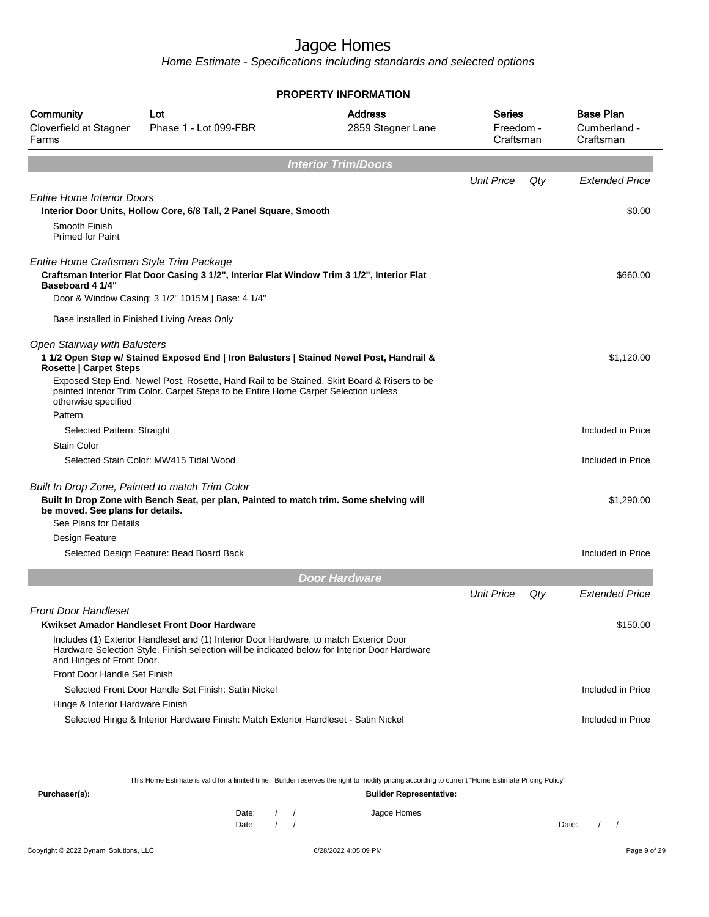Home Estimate - Specifications including standards and selected options

|                                                                                      |                                                                                                                                                                                                                                                                               | <b>PROPERTY INFORMATION</b>         |                                         |     |                                               |
|--------------------------------------------------------------------------------------|-------------------------------------------------------------------------------------------------------------------------------------------------------------------------------------------------------------------------------------------------------------------------------|-------------------------------------|-----------------------------------------|-----|-----------------------------------------------|
| Community<br>Cloverfield at Stagner<br>Farms                                         | Lot<br>Phase 1 - Lot 099-FBR                                                                                                                                                                                                                                                  | <b>Address</b><br>2859 Stagner Lane | <b>Series</b><br>Freedom -<br>Craftsman |     | <b>Base Plan</b><br>Cumberland -<br>Craftsman |
|                                                                                      |                                                                                                                                                                                                                                                                               | <b>Interior Trim/Doors</b>          |                                         |     |                                               |
|                                                                                      |                                                                                                                                                                                                                                                                               |                                     | <b>Unit Price</b>                       | Qty | <b>Extended Price</b>                         |
| <b>Entire Home Interior Doors</b>                                                    |                                                                                                                                                                                                                                                                               |                                     |                                         |     |                                               |
|                                                                                      | Interior Door Units, Hollow Core, 6/8 Tall, 2 Panel Square, Smooth                                                                                                                                                                                                            |                                     |                                         |     | \$0.00                                        |
| Smooth Finish<br><b>Primed for Paint</b>                                             |                                                                                                                                                                                                                                                                               |                                     |                                         |     |                                               |
| Entire Home Craftsman Style Trim Package<br>Baseboard 4 1/4"                         | Craftsman Interior Flat Door Casing 3 1/2", Interior Flat Window Trim 3 1/2", Interior Flat<br>Door & Window Casing: 3 1/2" 1015M   Base: 4 1/4"                                                                                                                              |                                     |                                         |     | \$660.00                                      |
|                                                                                      | Base installed in Finished Living Areas Only                                                                                                                                                                                                                                  |                                     |                                         |     |                                               |
| Open Stairway with Balusters<br><b>Rosette   Carpet Steps</b><br>otherwise specified | 1 1/2 Open Step w/ Stained Exposed End   Iron Balusters   Stained Newel Post, Handrail &<br>Exposed Step End, Newel Post, Rosette, Hand Rail to be Stained. Skirt Board & Risers to be<br>painted Interior Trim Color. Carpet Steps to be Entire Home Carpet Selection unless |                                     |                                         |     | \$1.120.00                                    |
| Pattern                                                                              |                                                                                                                                                                                                                                                                               |                                     |                                         |     |                                               |
| Selected Pattern: Straight                                                           |                                                                                                                                                                                                                                                                               |                                     |                                         |     | Included in Price                             |
| Stain Color                                                                          |                                                                                                                                                                                                                                                                               |                                     |                                         |     |                                               |
|                                                                                      | Selected Stain Color: MW415 Tidal Wood                                                                                                                                                                                                                                        |                                     |                                         |     | Included in Price                             |
| be moved. See plans for details.<br>See Plans for Details<br>Design Feature          | Built In Drop Zone, Painted to match Trim Color<br>Built In Drop Zone with Bench Seat, per plan, Painted to match trim. Some shelving will                                                                                                                                    |                                     |                                         |     | \$1,290.00                                    |
|                                                                                      | Selected Design Feature: Bead Board Back                                                                                                                                                                                                                                      |                                     |                                         |     | Included in Price                             |
|                                                                                      |                                                                                                                                                                                                                                                                               |                                     |                                         |     |                                               |
|                                                                                      |                                                                                                                                                                                                                                                                               | <b>Door Hardware</b>                |                                         |     |                                               |
|                                                                                      |                                                                                                                                                                                                                                                                               |                                     | <b>Unit Price</b>                       | Qty | <b>Extended Price</b>                         |
| <b>Front Door Handleset</b>                                                          |                                                                                                                                                                                                                                                                               |                                     |                                         |     |                                               |
| and Hinges of Front Door.<br>Front Door Handle Set Finish                            | Kwikset Amador Handleset Front Door Hardware<br>Includes (1) Exterior Handleset and (1) Interior Door Hardware, to match Exterior Door<br>Hardware Selection Style. Finish selection will be indicated below for Interior Door Hardware                                       |                                     |                                         |     | \$150.00                                      |
|                                                                                      | Selected Front Door Handle Set Finish: Satin Nickel                                                                                                                                                                                                                           |                                     |                                         |     | Included in Price                             |
| Hinge & Interior Hardware Finish                                                     |                                                                                                                                                                                                                                                                               |                                     |                                         |     |                                               |
|                                                                                      | Selected Hinge & Interior Hardware Finish: Match Exterior Handleset - Satin Nickel                                                                                                                                                                                            |                                     |                                         |     | Included in Price                             |
|                                                                                      |                                                                                                                                                                                                                                                                               |                                     |                                         |     |                                               |

This Home Estimate is valid for a limited time. Builder reserves the right to modify pricing according to current "Home Estimate Pricing Policy"

| Purchaser(s): |                |  | <b>Builder Representative:</b> |       |  |
|---------------|----------------|--|--------------------------------|-------|--|
|               | Date:<br>Date: |  | Jagoe Homes                    | Date: |  |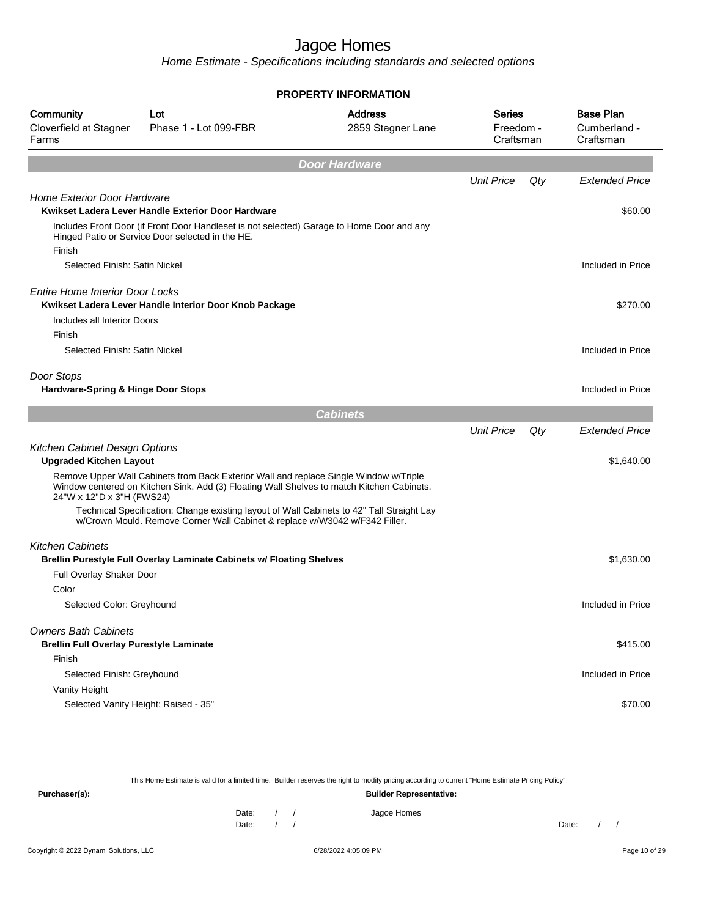**PROPERTY INFORMATION**

Home Estimate - Specifications including standards and selected options

| Community<br>Cloverfield at Stagner<br>Farms                                  | Lot<br>Phase 1 - Lot 099-FBR                                                                                                                                                       | <b>Address</b><br>2859 Stagner Lane | Series<br>Freedom -<br>Craftsman |     | <b>Base Plan</b><br>Cumberland -<br>Craftsman |
|-------------------------------------------------------------------------------|------------------------------------------------------------------------------------------------------------------------------------------------------------------------------------|-------------------------------------|----------------------------------|-----|-----------------------------------------------|
|                                                                               |                                                                                                                                                                                    | <b>Door Hardware</b>                |                                  |     |                                               |
|                                                                               |                                                                                                                                                                                    |                                     | <b>Unit Price</b>                | Qty | <b>Extended Price</b>                         |
| Home Exterior Door Hardware                                                   | Kwikset Ladera Lever Handle Exterior Door Hardware                                                                                                                                 |                                     |                                  |     | \$60.00                                       |
| Finish                                                                        | Includes Front Door (if Front Door Handleset is not selected) Garage to Home Door and any<br>Hinged Patio or Service Door selected in the HE.                                      |                                     |                                  |     |                                               |
| Selected Finish: Satin Nickel                                                 |                                                                                                                                                                                    |                                     |                                  |     | Included in Price                             |
| <b>Entire Home Interior Door Locks</b><br>Includes all Interior Doors         | Kwikset Ladera Lever Handle Interior Door Knob Package                                                                                                                             |                                     |                                  |     | \$270.00                                      |
| Finish<br>Selected Finish: Satin Nickel                                       |                                                                                                                                                                                    |                                     |                                  |     | Included in Price                             |
| Door Stops<br>Hardware-Spring & Hinge Door Stops                              |                                                                                                                                                                                    |                                     |                                  |     | Included in Price                             |
|                                                                               |                                                                                                                                                                                    | <b>Cabinets</b>                     |                                  |     |                                               |
|                                                                               |                                                                                                                                                                                    |                                     | <b>Unit Price</b>                | Qty | <b>Extended Price</b>                         |
| Kitchen Cabinet Design Options<br><b>Upgraded Kitchen Layout</b>              |                                                                                                                                                                                    |                                     |                                  |     | \$1,640.00                                    |
| 24"W x 12"D x 3"H (FWS24)                                                     | Remove Upper Wall Cabinets from Back Exterior Wall and replace Single Window w/Triple<br>Window centered on Kitchen Sink. Add (3) Floating Wall Shelves to match Kitchen Cabinets. |                                     |                                  |     |                                               |
|                                                                               | Technical Specification: Change existing layout of Wall Cabinets to 42" Tall Straight Lay<br>w/Crown Mould. Remove Corner Wall Cabinet & replace w/W3042 w/F342 Filler.            |                                     |                                  |     |                                               |
| <b>Kitchen Cabinets</b>                                                       | Brellin Purestyle Full Overlay Laminate Cabinets w/ Floating Shelves                                                                                                               |                                     |                                  |     | \$1,630.00                                    |
| Full Overlay Shaker Door                                                      |                                                                                                                                                                                    |                                     |                                  |     |                                               |
| Color                                                                         |                                                                                                                                                                                    |                                     |                                  |     |                                               |
| Selected Color: Greyhound                                                     |                                                                                                                                                                                    |                                     |                                  |     | Included in Price                             |
| <b>Owners Bath Cabinets</b><br><b>Brellin Full Overlay Purestyle Laminate</b> |                                                                                                                                                                                    |                                     |                                  |     | \$415.00                                      |
| Finish                                                                        |                                                                                                                                                                                    |                                     |                                  |     |                                               |
| Selected Finish: Greyhound                                                    |                                                                                                                                                                                    |                                     |                                  |     | Included in Price                             |
| Vanity Height                                                                 |                                                                                                                                                                                    |                                     |                                  |     |                                               |
| Selected Vanity Height: Raised - 35"                                          |                                                                                                                                                                                    |                                     |                                  |     | \$70.00                                       |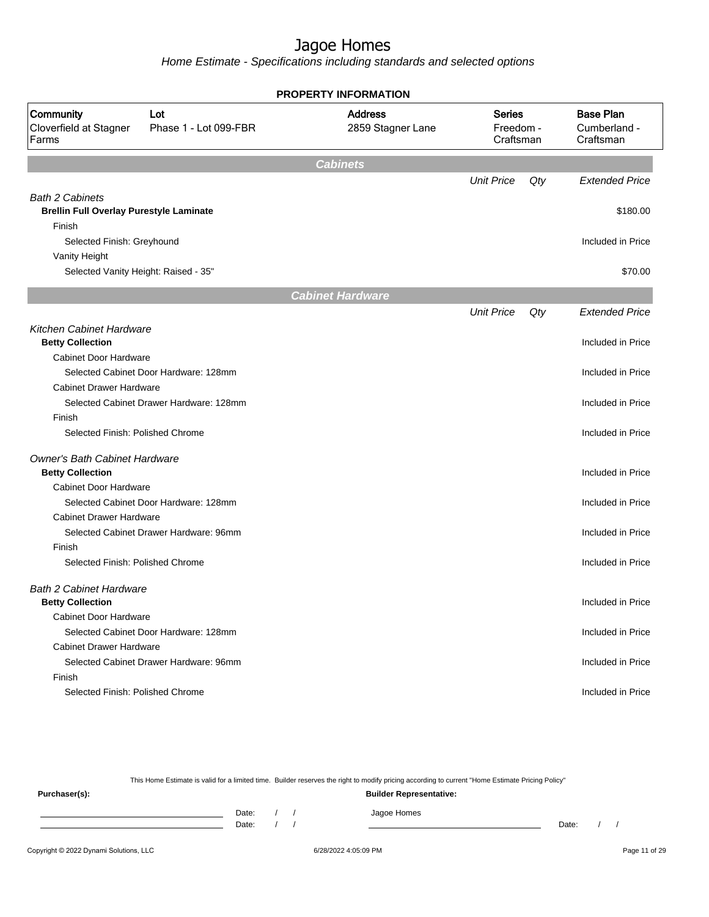Home Estimate - Specifications including standards and selected options

|                                                                              | <b>PROPERTY INFORMATION</b>         |                                         |     |                                               |
|------------------------------------------------------------------------------|-------------------------------------|-----------------------------------------|-----|-----------------------------------------------|
| Community<br>Lot<br>Cloverfield at Stagner<br>Phase 1 - Lot 099-FBR<br>Farms | <b>Address</b><br>2859 Stagner Lane | <b>Series</b><br>Freedom -<br>Craftsman |     | <b>Base Plan</b><br>Cumberland -<br>Craftsman |
|                                                                              | <b>Cabinets</b>                     |                                         |     |                                               |
|                                                                              |                                     | <b>Unit Price</b>                       | Qty | <b>Extended Price</b>                         |
| <b>Bath 2 Cabinets</b><br><b>Brellin Full Overlay Purestyle Laminate</b>     |                                     |                                         |     | \$180.00                                      |
| Finish<br>Selected Finish: Greyhound                                         |                                     |                                         |     | Included in Price                             |
| Vanity Height<br>Selected Vanity Height: Raised - 35"                        |                                     |                                         |     | \$70.00                                       |
|                                                                              | <b>Cabinet Hardware</b>             |                                         |     |                                               |
|                                                                              |                                     | <b>Unit Price</b>                       | Qty | <b>Extended Price</b>                         |
| Kitchen Cabinet Hardware<br><b>Betty Collection</b>                          |                                     |                                         |     | Included in Price                             |
| <b>Cabinet Door Hardware</b><br>Selected Cabinet Door Hardware: 128mm        |                                     |                                         |     | Included in Price                             |
| <b>Cabinet Drawer Hardware</b><br>Selected Cabinet Drawer Hardware: 128mm    |                                     |                                         |     | Included in Price                             |
| Finish<br>Selected Finish: Polished Chrome                                   |                                     |                                         |     | Included in Price                             |
| Owner's Bath Cabinet Hardware<br><b>Betty Collection</b>                     |                                     |                                         |     | Included in Price                             |
| <b>Cabinet Door Hardware</b>                                                 |                                     |                                         |     |                                               |
| Selected Cabinet Door Hardware: 128mm                                        |                                     |                                         |     | Included in Price                             |
| <b>Cabinet Drawer Hardware</b><br>Selected Cabinet Drawer Hardware: 96mm     |                                     |                                         |     | Included in Price                             |
| Finish<br>Selected Finish: Polished Chrome                                   |                                     |                                         |     | Included in Price                             |
| <b>Bath 2 Cabinet Hardware</b><br><b>Betty Collection</b>                    |                                     |                                         |     | Included in Price                             |
| Cabinet Door Hardware<br>Selected Cabinet Door Hardware: 128mm               |                                     |                                         |     | Included in Price                             |
| <b>Cabinet Drawer Hardware</b><br>Selected Cabinet Drawer Hardware: 96mm     |                                     |                                         |     | Included in Price                             |
| Finish<br>Selected Finish: Polished Chrome                                   |                                     |                                         |     | Included in Price                             |

This Home Estimate is valid for a limited time. Builder reserves the right to modify pricing according to current "Home Estimate Pricing Policy"

**Purchaser(s): Builder Representative:** Date: / / Jagoe Homes<br>Date: / / Jagoe Homes Date: / / **Date: / / 2006** Date: / / / Date: / / /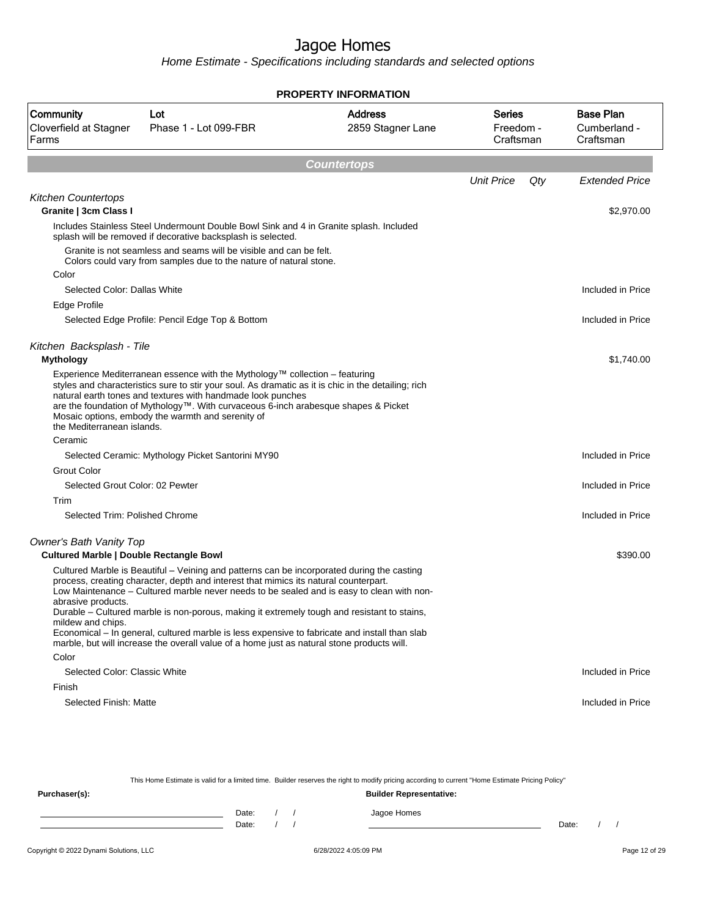Home Estimate - Specifications including standards and selected options

| <b>PROPERTY INFORMATION</b>                                               |                                                                                                                                                                                                                                                                                                                                                                                                                                                                                                                                                                               |                                     |                                         |                                               |  |  |
|---------------------------------------------------------------------------|-------------------------------------------------------------------------------------------------------------------------------------------------------------------------------------------------------------------------------------------------------------------------------------------------------------------------------------------------------------------------------------------------------------------------------------------------------------------------------------------------------------------------------------------------------------------------------|-------------------------------------|-----------------------------------------|-----------------------------------------------|--|--|
| Community<br>Cloverfield at Stagner<br>Farms                              | Lot<br>Phase 1 - Lot 099-FBR                                                                                                                                                                                                                                                                                                                                                                                                                                                                                                                                                  | <b>Address</b><br>2859 Stagner Lane | <b>Series</b><br>Freedom -<br>Craftsman | <b>Base Plan</b><br>Cumberland -<br>Craftsman |  |  |
|                                                                           |                                                                                                                                                                                                                                                                                                                                                                                                                                                                                                                                                                               | <b>Countertops</b>                  |                                         |                                               |  |  |
|                                                                           |                                                                                                                                                                                                                                                                                                                                                                                                                                                                                                                                                                               |                                     | <b>Unit Price</b>                       | Qty<br><b>Extended Price</b>                  |  |  |
| <b>Kitchen Countertops</b><br>Granite   3cm Class I                       |                                                                                                                                                                                                                                                                                                                                                                                                                                                                                                                                                                               |                                     |                                         | \$2,970.00                                    |  |  |
|                                                                           | Includes Stainless Steel Undermount Double Bowl Sink and 4 in Granite splash. Included<br>splash will be removed if decorative backsplash is selected.                                                                                                                                                                                                                                                                                                                                                                                                                        |                                     |                                         |                                               |  |  |
|                                                                           | Granite is not seamless and seams will be visible and can be felt.<br>Colors could vary from samples due to the nature of natural stone.                                                                                                                                                                                                                                                                                                                                                                                                                                      |                                     |                                         |                                               |  |  |
| Color                                                                     |                                                                                                                                                                                                                                                                                                                                                                                                                                                                                                                                                                               |                                     |                                         |                                               |  |  |
| Selected Color: Dallas White                                              |                                                                                                                                                                                                                                                                                                                                                                                                                                                                                                                                                                               |                                     |                                         | Included in Price                             |  |  |
| Edge Profile                                                              |                                                                                                                                                                                                                                                                                                                                                                                                                                                                                                                                                                               |                                     |                                         |                                               |  |  |
|                                                                           | Selected Edge Profile: Pencil Edge Top & Bottom                                                                                                                                                                                                                                                                                                                                                                                                                                                                                                                               |                                     |                                         | Included in Price                             |  |  |
| Kitchen Backsplash - Tile                                                 |                                                                                                                                                                                                                                                                                                                                                                                                                                                                                                                                                                               |                                     |                                         |                                               |  |  |
| <b>Mythology</b>                                                          |                                                                                                                                                                                                                                                                                                                                                                                                                                                                                                                                                                               |                                     |                                         | \$1,740.00                                    |  |  |
| the Mediterranean islands.                                                | Experience Mediterranean essence with the Mythology <sup><math>m</math></sup> collection – featuring<br>styles and characteristics sure to stir your soul. As dramatic as it is chic in the detailing; rich<br>natural earth tones and textures with handmade look punches<br>are the foundation of Mythology™. With curvaceous 6-inch arabesque shapes & Picket<br>Mosaic options, embody the warmth and serenity of                                                                                                                                                         |                                     |                                         |                                               |  |  |
| Ceramic                                                                   |                                                                                                                                                                                                                                                                                                                                                                                                                                                                                                                                                                               |                                     |                                         |                                               |  |  |
|                                                                           | Selected Ceramic: Mythology Picket Santorini MY90                                                                                                                                                                                                                                                                                                                                                                                                                                                                                                                             |                                     |                                         | Included in Price                             |  |  |
| <b>Grout Color</b>                                                        |                                                                                                                                                                                                                                                                                                                                                                                                                                                                                                                                                                               |                                     |                                         |                                               |  |  |
| Selected Grout Color: 02 Pewter                                           |                                                                                                                                                                                                                                                                                                                                                                                                                                                                                                                                                                               |                                     |                                         | Included in Price                             |  |  |
| Trim                                                                      |                                                                                                                                                                                                                                                                                                                                                                                                                                                                                                                                                                               |                                     |                                         |                                               |  |  |
| Selected Trim: Polished Chrome                                            |                                                                                                                                                                                                                                                                                                                                                                                                                                                                                                                                                                               |                                     |                                         | Included in Price                             |  |  |
| Owner's Bath Vanity Top<br><b>Cultured Marble   Double Rectangle Bowl</b> |                                                                                                                                                                                                                                                                                                                                                                                                                                                                                                                                                                               |                                     |                                         | \$390.00                                      |  |  |
| abrasive products.<br>mildew and chips.                                   | Cultured Marble is Beautiful – Veining and patterns can be incorporated during the casting<br>process, creating character, depth and interest that mimics its natural counterpart.<br>Low Maintenance - Cultured marble never needs to be sealed and is easy to clean with non-<br>Durable – Cultured marble is non-porous, making it extremely tough and resistant to stains,<br>Economical – In general, cultured marble is less expensive to fabricate and install than slab<br>marble, but will increase the overall value of a home just as natural stone products will. |                                     |                                         |                                               |  |  |
| Color<br>Selected Color: Classic White                                    |                                                                                                                                                                                                                                                                                                                                                                                                                                                                                                                                                                               |                                     |                                         | Included in Price                             |  |  |
| Finish                                                                    |                                                                                                                                                                                                                                                                                                                                                                                                                                                                                                                                                                               |                                     |                                         |                                               |  |  |
| Selected Finish: Matte                                                    |                                                                                                                                                                                                                                                                                                                                                                                                                                                                                                                                                                               |                                     |                                         | Included in Price                             |  |  |
|                                                                           |                                                                                                                                                                                                                                                                                                                                                                                                                                                                                                                                                                               |                                     |                                         |                                               |  |  |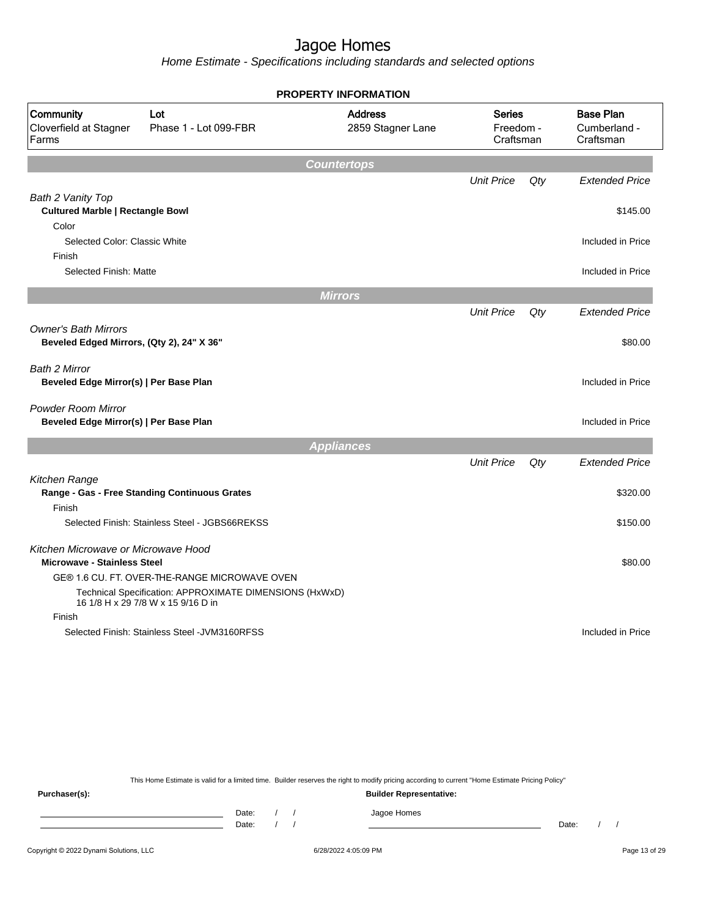Home Estimate - Specifications including standards and selected options

|                                                                          |                                                                                               | <b>PROPERTY INFORMATION</b>         |                                         |        |                                               |
|--------------------------------------------------------------------------|-----------------------------------------------------------------------------------------------|-------------------------------------|-----------------------------------------|--------|-----------------------------------------------|
| Community<br>Cloverfield at Stagner<br>Farms                             | Lot<br>Phase 1 - Lot 099-FBR                                                                  | <b>Address</b><br>2859 Stagner Lane | <b>Series</b><br>Freedom -<br>Craftsman |        | <b>Base Plan</b><br>Cumberland -<br>Craftsman |
|                                                                          |                                                                                               | <b>Countertops</b>                  |                                         |        |                                               |
|                                                                          |                                                                                               |                                     | <b>Unit Price</b>                       | $Q$ ty | <b>Extended Price</b>                         |
| Bath 2 Vanity Top                                                        |                                                                                               |                                     |                                         |        |                                               |
| <b>Cultured Marble   Rectangle Bowl</b>                                  |                                                                                               |                                     |                                         |        | \$145.00                                      |
| Color                                                                    |                                                                                               |                                     |                                         |        |                                               |
| Selected Color: Classic White                                            |                                                                                               |                                     |                                         |        | Included in Price                             |
| Finish                                                                   |                                                                                               |                                     |                                         |        |                                               |
| Selected Finish: Matte                                                   |                                                                                               |                                     |                                         |        | Included in Price                             |
|                                                                          |                                                                                               | <b>Mirrors</b>                      |                                         |        |                                               |
|                                                                          |                                                                                               |                                     | <b>Unit Price</b>                       | $Q$ ty | <b>Extended Price</b>                         |
| <b>Owner's Bath Mirrors</b><br>Beveled Edged Mirrors, (Qty 2), 24" X 36" |                                                                                               |                                     |                                         |        | \$80.00                                       |
|                                                                          |                                                                                               |                                     |                                         |        |                                               |
| Bath 2 Mirror<br>Beveled Edge Mirror(s)   Per Base Plan                  |                                                                                               |                                     |                                         |        | Included in Price                             |
| <b>Powder Room Mirror</b><br>Beveled Edge Mirror(s)   Per Base Plan      |                                                                                               |                                     |                                         |        | Included in Price                             |
|                                                                          |                                                                                               | <b>Appliances</b>                   |                                         |        |                                               |
|                                                                          |                                                                                               |                                     | <b>Unit Price</b>                       | $Q$ ty | <b>Extended Price</b>                         |
| Kitchen Range                                                            |                                                                                               |                                     |                                         |        |                                               |
|                                                                          | Range - Gas - Free Standing Continuous Grates                                                 |                                     |                                         |        | \$320.00                                      |
| Finish                                                                   |                                                                                               |                                     |                                         |        |                                               |
|                                                                          | Selected Finish: Stainless Steel - JGBS66REKSS                                                |                                     |                                         |        | \$150.00                                      |
| Kitchen Microwave or Microwave Hood                                      |                                                                                               |                                     |                                         |        |                                               |
| <b>Microwave - Stainless Steel</b>                                       |                                                                                               |                                     |                                         |        | \$80.00                                       |
|                                                                          | GE® 1.6 CU. FT. OVER-THE-RANGE MICROWAVE OVEN                                                 |                                     |                                         |        |                                               |
|                                                                          | Technical Specification: APPROXIMATE DIMENSIONS (HxWxD)<br>16 1/8 H x 29 7/8 W x 15 9/16 D in |                                     |                                         |        |                                               |
| Finish                                                                   |                                                                                               |                                     |                                         |        |                                               |
|                                                                          | Selected Finish: Stainless Steel - JVM3160RFSS                                                |                                     |                                         |        | Included in Price                             |
|                                                                          |                                                                                               |                                     |                                         |        |                                               |

This Home Estimate is valid for a limited time. Builder reserves the right to modify pricing according to current "Home Estimate Pricing Policy"

**Purchaser(s): Builder Representative:** Date: / / Jagoe Homes<br>Date: / / Jagoe Homes Date: / / Date: / /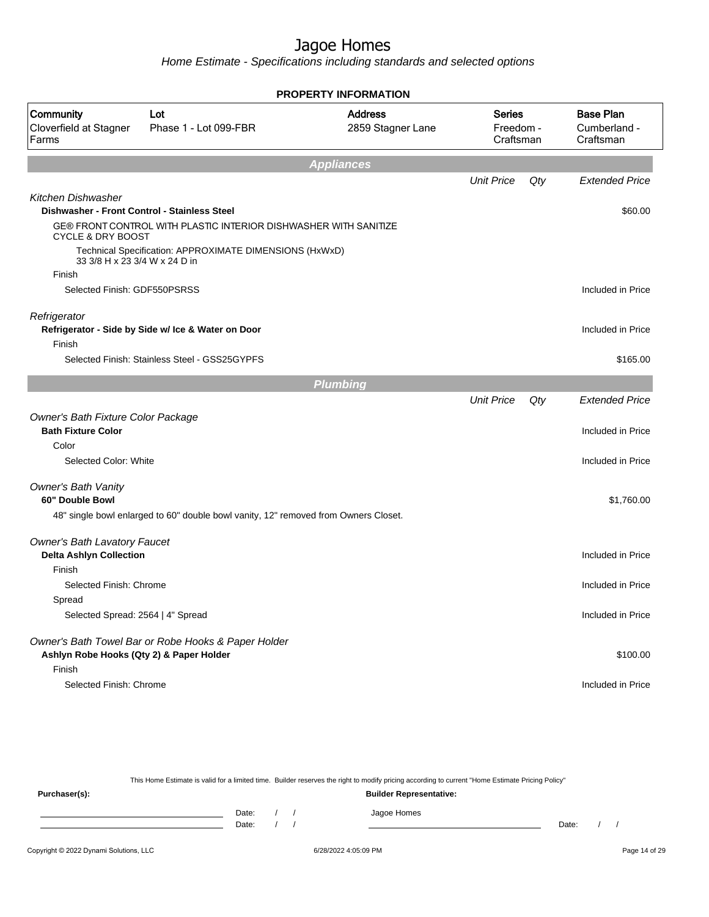Home Estimate - Specifications including standards and selected options

|                                                                 |                                                                                                                  | <b>PROPERTY INFORMATION</b>         |                                         |     |                                               |
|-----------------------------------------------------------------|------------------------------------------------------------------------------------------------------------------|-------------------------------------|-----------------------------------------|-----|-----------------------------------------------|
| Community<br>Cloverfield at Stagner<br>Farms                    | Lot<br>Phase 1 - Lot 099-FBR                                                                                     | <b>Address</b><br>2859 Stagner Lane | <b>Series</b><br>Freedom -<br>Craftsman |     | <b>Base Plan</b><br>Cumberland -<br>Craftsman |
|                                                                 |                                                                                                                  | <b>Appliances</b>                   |                                         |     |                                               |
|                                                                 |                                                                                                                  |                                     | <b>Unit Price</b>                       | Qty | <b>Extended Price</b>                         |
| <b>Kitchen Dishwasher</b>                                       |                                                                                                                  |                                     |                                         |     |                                               |
|                                                                 | Dishwasher - Front Control - Stainless Steel<br>GE® FRONT CONTROL WITH PLASTIC INTERIOR DISHWASHER WITH SANITIZE |                                     |                                         |     | \$60.00                                       |
| <b>CYCLE &amp; DRY BOOST</b>                                    |                                                                                                                  |                                     |                                         |     |                                               |
| 33 3/8 H x 23 3/4 W x 24 D in                                   | Technical Specification: APPROXIMATE DIMENSIONS (HxWxD)                                                          |                                     |                                         |     |                                               |
| Finish                                                          |                                                                                                                  |                                     |                                         |     |                                               |
| Selected Finish: GDF550PSRSS                                    |                                                                                                                  |                                     |                                         |     | Included in Price                             |
| Refrigerator                                                    | Refrigerator - Side by Side w/ Ice & Water on Door                                                               |                                     |                                         |     | Included in Price                             |
| Finish                                                          |                                                                                                                  |                                     |                                         |     |                                               |
|                                                                 | Selected Finish: Stainless Steel - GSS25GYPFS                                                                    |                                     |                                         |     | \$165.00                                      |
|                                                                 |                                                                                                                  | <b>Plumbing</b>                     |                                         |     |                                               |
|                                                                 |                                                                                                                  |                                     | <b>Unit Price</b>                       | Qty | <b>Extended Price</b>                         |
| Owner's Bath Fixture Color Package<br><b>Bath Fixture Color</b> |                                                                                                                  |                                     |                                         |     | Included in Price                             |
| Color                                                           |                                                                                                                  |                                     |                                         |     |                                               |
| Selected Color: White                                           |                                                                                                                  |                                     |                                         |     | Included in Price                             |
| <b>Owner's Bath Vanity</b>                                      |                                                                                                                  |                                     |                                         |     |                                               |
| 60" Double Bowl                                                 |                                                                                                                  |                                     |                                         |     | \$1,760.00                                    |
|                                                                 | 48" single bowl enlarged to 60" double bowl vanity, 12" removed from Owners Closet.                              |                                     |                                         |     |                                               |
| <b>Owner's Bath Lavatory Faucet</b>                             |                                                                                                                  |                                     |                                         |     |                                               |
| <b>Delta Ashlyn Collection</b>                                  |                                                                                                                  |                                     |                                         |     | Included in Price                             |
| Finish                                                          |                                                                                                                  |                                     |                                         |     |                                               |
| Selected Finish: Chrome                                         |                                                                                                                  |                                     |                                         |     | Included in Price                             |
| Spread                                                          |                                                                                                                  |                                     |                                         |     |                                               |
| Selected Spread: 2564   4" Spread                               |                                                                                                                  |                                     |                                         |     | Included in Price                             |
| Ashlyn Robe Hooks (Qty 2) & Paper Holder                        | Owner's Bath Towel Bar or Robe Hooks & Paper Holder                                                              |                                     |                                         |     | \$100.00                                      |
| Finish                                                          |                                                                                                                  |                                     |                                         |     |                                               |
| Selected Finish: Chrome                                         |                                                                                                                  |                                     |                                         |     | Included in Price                             |
|                                                                 |                                                                                                                  |                                     |                                         |     |                                               |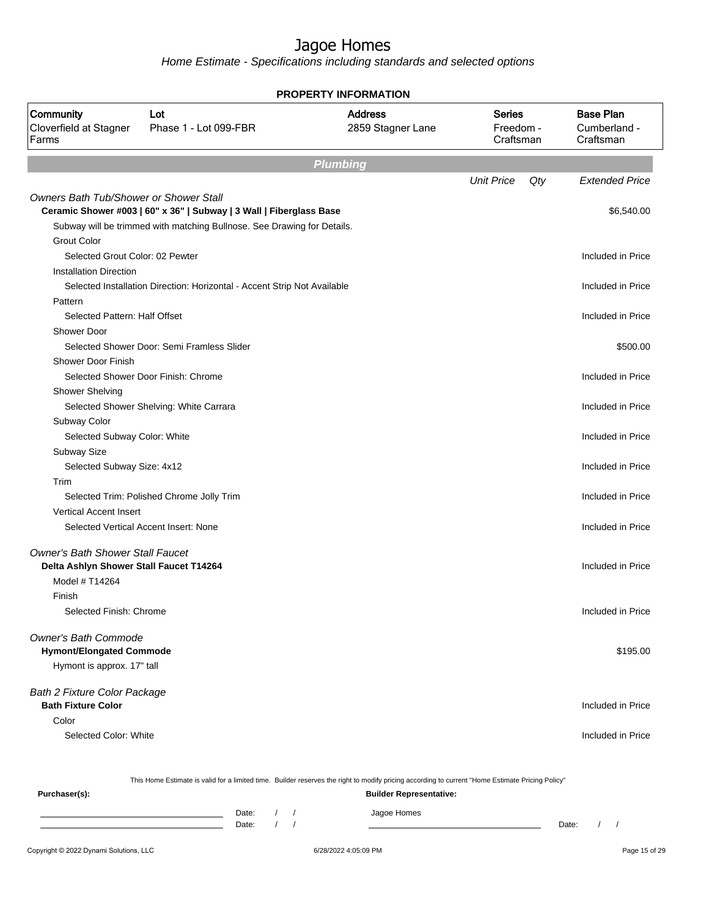Home Estimate - Specifications including standards and selected options

| <b>PROPERTY INFORMATION</b>                  |                                                                          |                                     |                                         |                                               |  |  |
|----------------------------------------------|--------------------------------------------------------------------------|-------------------------------------|-----------------------------------------|-----------------------------------------------|--|--|
| Community<br>Cloverfield at Stagner<br>Farms | Lot<br>Phase 1 - Lot 099-FBR                                             | <b>Address</b><br>2859 Stagner Lane | <b>Series</b><br>Freedom -<br>Craftsman | <b>Base Plan</b><br>Cumberland -<br>Craftsman |  |  |
|                                              |                                                                          | <b>Plumbing</b>                     |                                         |                                               |  |  |
|                                              |                                                                          |                                     | <b>Unit Price</b><br>Qty                | <b>Extended Price</b>                         |  |  |
| Owners Bath Tub/Shower or Shower Stall       |                                                                          |                                     |                                         |                                               |  |  |
|                                              | Ceramic Shower #003   60" x 36"   Subway   3 Wall   Fiberglass Base      |                                     |                                         | \$6,540.00                                    |  |  |
|                                              | Subway will be trimmed with matching Bullnose. See Drawing for Details.  |                                     |                                         |                                               |  |  |
| <b>Grout Color</b>                           |                                                                          |                                     |                                         |                                               |  |  |
| Selected Grout Color: 02 Pewter              |                                                                          |                                     |                                         | Included in Price                             |  |  |
| <b>Installation Direction</b>                |                                                                          |                                     |                                         |                                               |  |  |
|                                              | Selected Installation Direction: Horizontal - Accent Strip Not Available |                                     |                                         | Included in Price                             |  |  |
| Pattern                                      |                                                                          |                                     |                                         |                                               |  |  |
| Selected Pattern: Half Offset                |                                                                          |                                     |                                         | Included in Price                             |  |  |
| Shower Door                                  |                                                                          |                                     |                                         |                                               |  |  |
|                                              | Selected Shower Door: Semi Framless Slider                               |                                     |                                         | \$500.00                                      |  |  |
| Shower Door Finish                           |                                                                          |                                     |                                         |                                               |  |  |
|                                              | Selected Shower Door Finish: Chrome                                      |                                     |                                         | Included in Price                             |  |  |
| <b>Shower Shelving</b>                       |                                                                          |                                     |                                         |                                               |  |  |
|                                              | Selected Shower Shelving: White Carrara                                  |                                     |                                         | Included in Price                             |  |  |
| Subway Color                                 |                                                                          |                                     |                                         |                                               |  |  |
| Selected Subway Color: White                 |                                                                          |                                     |                                         | Included in Price                             |  |  |
| Subway Size                                  |                                                                          |                                     |                                         |                                               |  |  |
| Selected Subway Size: 4x12                   |                                                                          |                                     |                                         | Included in Price                             |  |  |
| Trim                                         |                                                                          |                                     |                                         | Included in Price                             |  |  |
| <b>Vertical Accent Insert</b>                | Selected Trim: Polished Chrome Jolly Trim                                |                                     |                                         |                                               |  |  |
|                                              | Selected Vertical Accent Insert: None                                    |                                     |                                         | Included in Price                             |  |  |
|                                              |                                                                          |                                     |                                         |                                               |  |  |
| <b>Owner's Bath Shower Stall Faucet</b>      |                                                                          |                                     |                                         |                                               |  |  |
| Delta Ashlyn Shower Stall Faucet T14264      |                                                                          |                                     |                                         | Included in Price                             |  |  |
| Model # T14264                               |                                                                          |                                     |                                         |                                               |  |  |
| Finish                                       |                                                                          |                                     |                                         |                                               |  |  |
| Selected Finish: Chrome                      |                                                                          |                                     |                                         | Included in Price                             |  |  |
| Owner's Bath Commode                         |                                                                          |                                     |                                         |                                               |  |  |
| <b>Hymont/Elongated Commode</b>              |                                                                          |                                     |                                         | \$195.00                                      |  |  |
| Hymont is approx. 17" tall                   |                                                                          |                                     |                                         |                                               |  |  |
| <b>Bath 2 Fixture Color Package</b>          |                                                                          |                                     |                                         |                                               |  |  |
| <b>Bath Fixture Color</b>                    |                                                                          |                                     |                                         | Included in Price                             |  |  |
| Color                                        |                                                                          |                                     |                                         |                                               |  |  |
| Selected Color: White                        |                                                                          |                                     |                                         | Included in Price                             |  |  |
|                                              |                                                                          |                                     |                                         |                                               |  |  |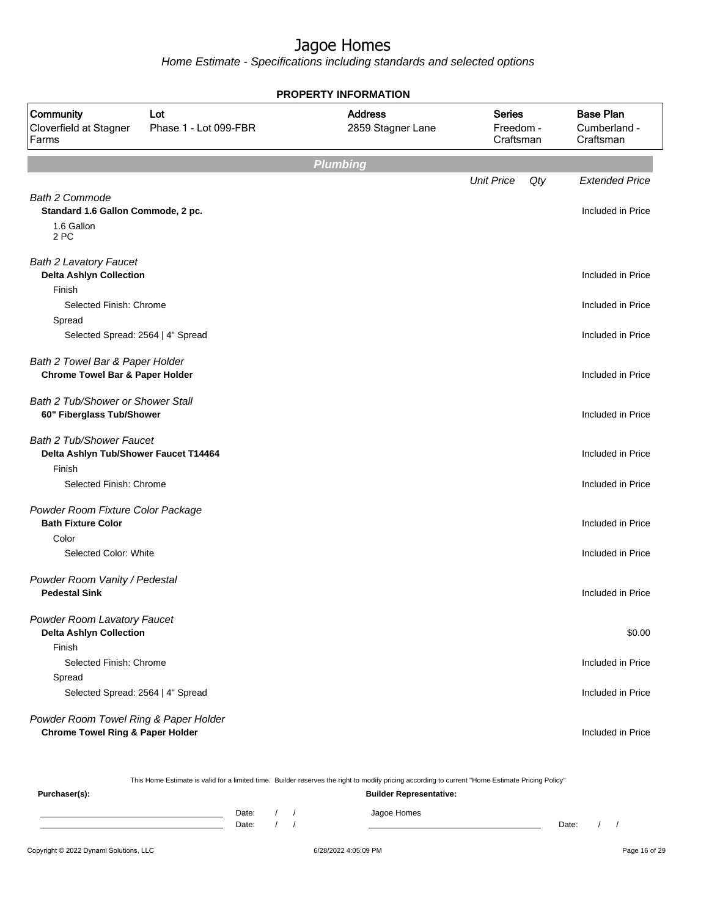Home Estimate - Specifications including standards and selected options

| <b>PROPERTY INFORMATION</b>                                                          |                              |                                     |                                         |                                               |  |  |
|--------------------------------------------------------------------------------------|------------------------------|-------------------------------------|-----------------------------------------|-----------------------------------------------|--|--|
| Community<br>Cloverfield at Stagner<br>Farms                                         | Lot<br>Phase 1 - Lot 099-FBR | <b>Address</b><br>2859 Stagner Lane | <b>Series</b><br>Freedom -<br>Craftsman | <b>Base Plan</b><br>Cumberland -<br>Craftsman |  |  |
|                                                                                      |                              | <b>Plumbing</b>                     |                                         |                                               |  |  |
|                                                                                      |                              |                                     | <b>Unit Price</b>                       | Qty<br><b>Extended Price</b>                  |  |  |
| <b>Bath 2 Commode</b><br>Standard 1.6 Gallon Commode, 2 pc.<br>1.6 Gallon<br>2 PC    |                              |                                     |                                         | Included in Price                             |  |  |
| <b>Bath 2 Lavatory Faucet</b><br><b>Delta Ashlyn Collection</b><br>Finish            |                              |                                     |                                         | Included in Price                             |  |  |
| Selected Finish: Chrome<br>Spread                                                    |                              |                                     |                                         | Included in Price                             |  |  |
| Selected Spread: 2564   4" Spread                                                    |                              |                                     |                                         | Included in Price                             |  |  |
| Bath 2 Towel Bar & Paper Holder<br><b>Chrome Towel Bar &amp; Paper Holder</b>        |                              |                                     |                                         | Included in Price                             |  |  |
| Bath 2 Tub/Shower or Shower Stall<br>60" Fiberglass Tub/Shower                       |                              |                                     |                                         | Included in Price                             |  |  |
| <b>Bath 2 Tub/Shower Faucet</b><br>Delta Ashlyn Tub/Shower Faucet T14464<br>Finish   |                              |                                     |                                         | Included in Price                             |  |  |
| Selected Finish: Chrome                                                              |                              |                                     |                                         | Included in Price                             |  |  |
| Powder Room Fixture Color Package<br><b>Bath Fixture Color</b>                       |                              |                                     |                                         | Included in Price                             |  |  |
| Color<br>Selected Color: White                                                       |                              |                                     |                                         | Included in Price                             |  |  |
| Powder Room Vanity / Pedestal<br><b>Pedestal Sink</b>                                |                              |                                     |                                         | Included in Price                             |  |  |
| Powder Room Lavatory Faucet<br><b>Delta Ashlyn Collection</b>                        |                              |                                     |                                         | \$0.00                                        |  |  |
| Finish<br>Selected Finish: Chrome                                                    |                              |                                     |                                         | Included in Price                             |  |  |
| Spread<br>Selected Spread: 2564   4" Spread                                          |                              |                                     |                                         | Included in Price                             |  |  |
| Powder Room Towel Ring & Paper Holder<br><b>Chrome Towel Ring &amp; Paper Holder</b> |                              |                                     |                                         | Included in Price                             |  |  |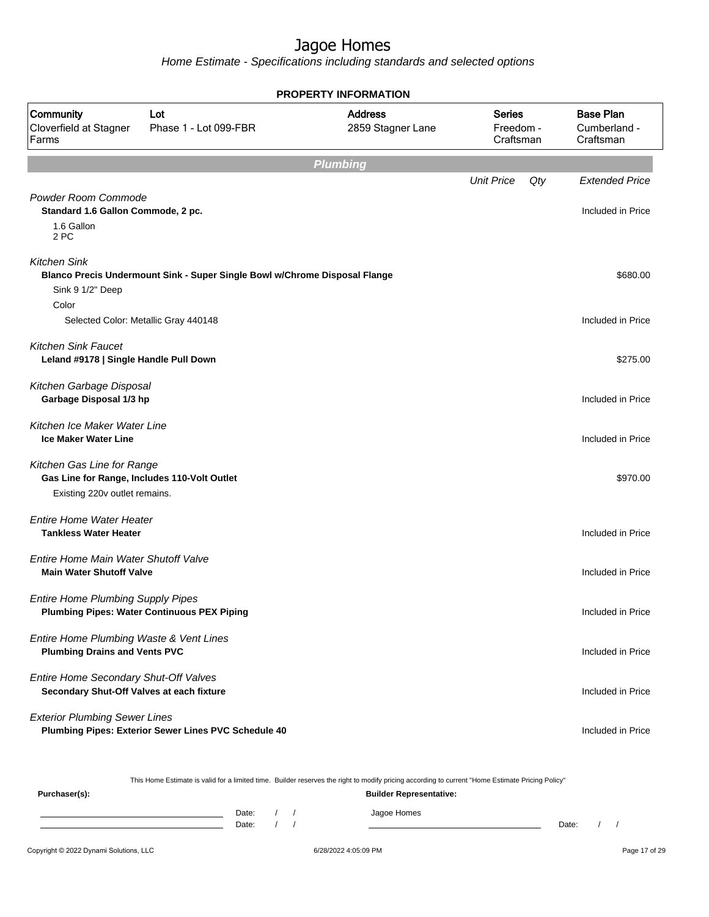Home Estimate - Specifications including standards and selected options

| <b>PROPERTY INFORMATION</b>                                                        |                                                                            |                                     |                                         |     |                                               |  |  |  |
|------------------------------------------------------------------------------------|----------------------------------------------------------------------------|-------------------------------------|-----------------------------------------|-----|-----------------------------------------------|--|--|--|
| Community<br>Cloverfield at Stagner<br>Farms                                       | Lot<br>Phase 1 - Lot 099-FBR                                               | <b>Address</b><br>2859 Stagner Lane | <b>Series</b><br>Freedom -<br>Craftsman |     | <b>Base Plan</b><br>Cumberland -<br>Craftsman |  |  |  |
|                                                                                    |                                                                            | <b>Plumbing</b>                     |                                         |     |                                               |  |  |  |
|                                                                                    |                                                                            |                                     | <b>Unit Price</b>                       | Qty | <b>Extended Price</b>                         |  |  |  |
| Powder Room Commode<br>Standard 1.6 Gallon Commode, 2 pc.<br>1.6 Gallon<br>2 PC    |                                                                            |                                     |                                         |     | Included in Price                             |  |  |  |
| <b>Kitchen Sink</b>                                                                |                                                                            |                                     |                                         |     |                                               |  |  |  |
|                                                                                    | Blanco Precis Undermount Sink - Super Single Bowl w/Chrome Disposal Flange |                                     |                                         |     | \$680.00                                      |  |  |  |
| Sink 9 1/2" Deep                                                                   |                                                                            |                                     |                                         |     |                                               |  |  |  |
| Color                                                                              |                                                                            |                                     |                                         |     |                                               |  |  |  |
|                                                                                    | Selected Color: Metallic Gray 440148                                       |                                     |                                         |     | Included in Price                             |  |  |  |
| <b>Kitchen Sink Faucet</b><br>Leland #9178   Single Handle Pull Down               |                                                                            |                                     |                                         |     | \$275.00                                      |  |  |  |
| Kitchen Garbage Disposal<br>Garbage Disposal 1/3 hp                                |                                                                            |                                     |                                         |     | Included in Price                             |  |  |  |
| Kitchen Ice Maker Water Line<br><b>Ice Maker Water Line</b>                        |                                                                            |                                     |                                         |     | Included in Price                             |  |  |  |
| Kitchen Gas Line for Range<br>Existing 220v outlet remains.                        | Gas Line for Range, Includes 110-Volt Outlet                               |                                     |                                         |     | \$970.00                                      |  |  |  |
| <b>Entire Home Water Heater</b><br><b>Tankless Water Heater</b>                    |                                                                            |                                     |                                         |     | Included in Price                             |  |  |  |
| Entire Home Main Water Shutoff Valve<br><b>Main Water Shutoff Valve</b>            |                                                                            |                                     |                                         |     | Included in Price                             |  |  |  |
| <b>Entire Home Plumbing Supply Pipes</b>                                           | <b>Plumbing Pipes: Water Continuous PEX Piping</b>                         |                                     |                                         |     | Included in Price                             |  |  |  |
| Entire Home Plumbing Waste & Vent Lines<br><b>Plumbing Drains and Vents PVC</b>    |                                                                            |                                     |                                         |     | Included in Price                             |  |  |  |
| Entire Home Secondary Shut-Off Valves<br>Secondary Shut-Off Valves at each fixture |                                                                            |                                     |                                         |     | Included in Price                             |  |  |  |
| <b>Exterior Plumbing Sewer Lines</b>                                               | Plumbing Pipes: Exterior Sewer Lines PVC Schedule 40                       |                                     |                                         |     | Included in Price                             |  |  |  |

This Home Estimate is valid for a limited time. Builder reserves the right to modify pricing according to current "Home Estimate Pricing Policy"

**Purchaser(s): Builder Representative:** Date: / / Jagoe Homes<br>Date: / / Jagoe Homes Date: / / Date: / /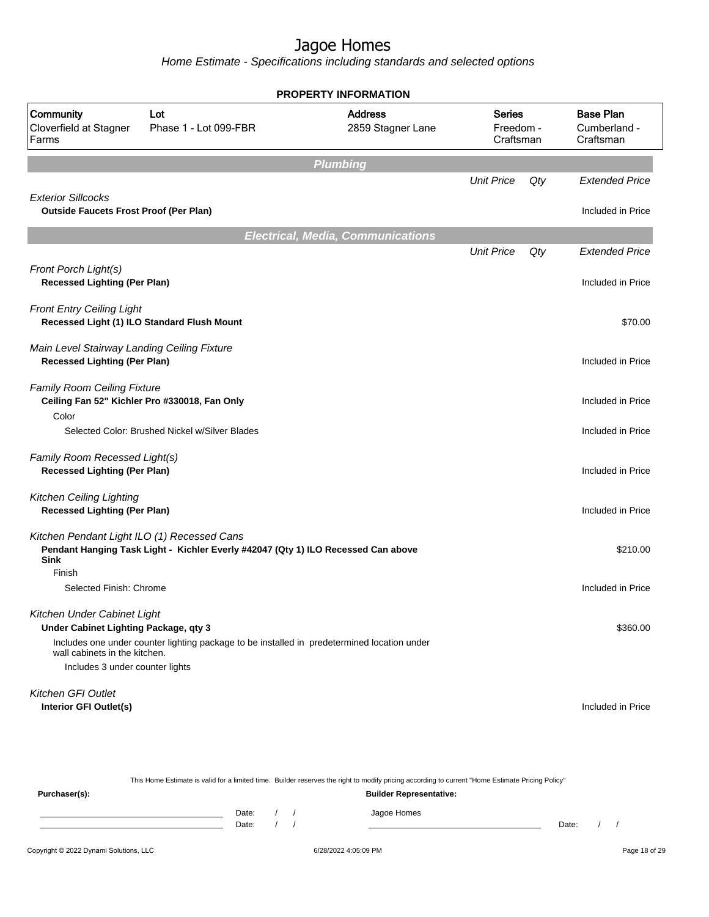Home Estimate - Specifications including standards and selected options

|                                                                                    |                                                                                             | <b>PROPERTY INFORMATION</b>              |                                  |     |                                               |
|------------------------------------------------------------------------------------|---------------------------------------------------------------------------------------------|------------------------------------------|----------------------------------|-----|-----------------------------------------------|
| Community<br>Cloverfield at Stagner<br>Farms                                       | Lot<br>Phase 1 - Lot 099-FBR                                                                | <b>Address</b><br>2859 Stagner Lane      | Series<br>Freedom -<br>Craftsman |     | <b>Base Plan</b><br>Cumberland -<br>Craftsman |
|                                                                                    |                                                                                             | <b>Plumbing</b>                          |                                  |     |                                               |
|                                                                                    |                                                                                             |                                          | <b>Unit Price</b>                | Qty | <b>Extended Price</b>                         |
| <b>Exterior Sillcocks</b><br><b>Outside Faucets Frost Proof (Per Plan)</b>         |                                                                                             |                                          |                                  |     | Included in Price                             |
|                                                                                    |                                                                                             | <b>Electrical, Media, Communications</b> |                                  |     |                                               |
|                                                                                    |                                                                                             |                                          | <b>Unit Price</b>                | Qty | <b>Extended Price</b>                         |
| Front Porch Light(s)<br><b>Recessed Lighting (Per Plan)</b>                        |                                                                                             |                                          |                                  |     | Included in Price                             |
| <b>Front Entry Ceiling Light</b>                                                   | Recessed Light (1) ILO Standard Flush Mount                                                 |                                          |                                  |     | \$70.00                                       |
| Main Level Stairway Landing Ceiling Fixture<br><b>Recessed Lighting (Per Plan)</b> |                                                                                             |                                          |                                  |     | Included in Price                             |
| <b>Family Room Ceiling Fixture</b><br>Color                                        | Ceiling Fan 52" Kichler Pro #330018, Fan Only                                               |                                          |                                  |     | Included in Price                             |
|                                                                                    | Selected Color: Brushed Nickel w/Silver Blades                                              |                                          |                                  |     | Included in Price                             |
| Family Room Recessed Light(s)<br><b>Recessed Lighting (Per Plan)</b>               |                                                                                             |                                          |                                  |     | Included in Price                             |
| <b>Kitchen Ceiling Lighting</b><br><b>Recessed Lighting (Per Plan)</b>             |                                                                                             |                                          |                                  |     | Included in Price                             |
| Kitchen Pendant Light ILO (1) Recessed Cans<br><b>Sink</b>                         | Pendant Hanging Task Light - Kichler Everly #42047 (Qty 1) ILO Recessed Can above           |                                          |                                  |     | \$210.00                                      |
| Finish<br>Selected Finish: Chrome                                                  |                                                                                             |                                          |                                  |     | Included in Price                             |
| Kitchen Under Cabinet Light<br>Under Cabinet Lighting Package, qty 3               |                                                                                             |                                          |                                  |     | \$360.00                                      |
| wall cabinets in the kitchen.                                                      | Includes one under counter lighting package to be installed in predetermined location under |                                          |                                  |     |                                               |
| Includes 3 under counter lights                                                    |                                                                                             |                                          |                                  |     |                                               |
| Kitchen GFI Outlet                                                                 |                                                                                             |                                          |                                  |     |                                               |
| Interior GFI Outlet(s)                                                             |                                                                                             |                                          |                                  |     | Included in Price                             |

| This Home Estimate is valid for a limited time. Builder reserves the right to modify pricing according to current "Home Estimate Pricing Policy" |       |                                |  |             |       |  |  |  |  |
|--------------------------------------------------------------------------------------------------------------------------------------------------|-------|--------------------------------|--|-------------|-------|--|--|--|--|
| Purchaser(s):                                                                                                                                    |       | <b>Builder Representative:</b> |  |             |       |  |  |  |  |
|                                                                                                                                                  | Date: |                                |  | Jagoe Homes |       |  |  |  |  |
|                                                                                                                                                  | Date: |                                |  |             | Date: |  |  |  |  |
|                                                                                                                                                  |       |                                |  |             |       |  |  |  |  |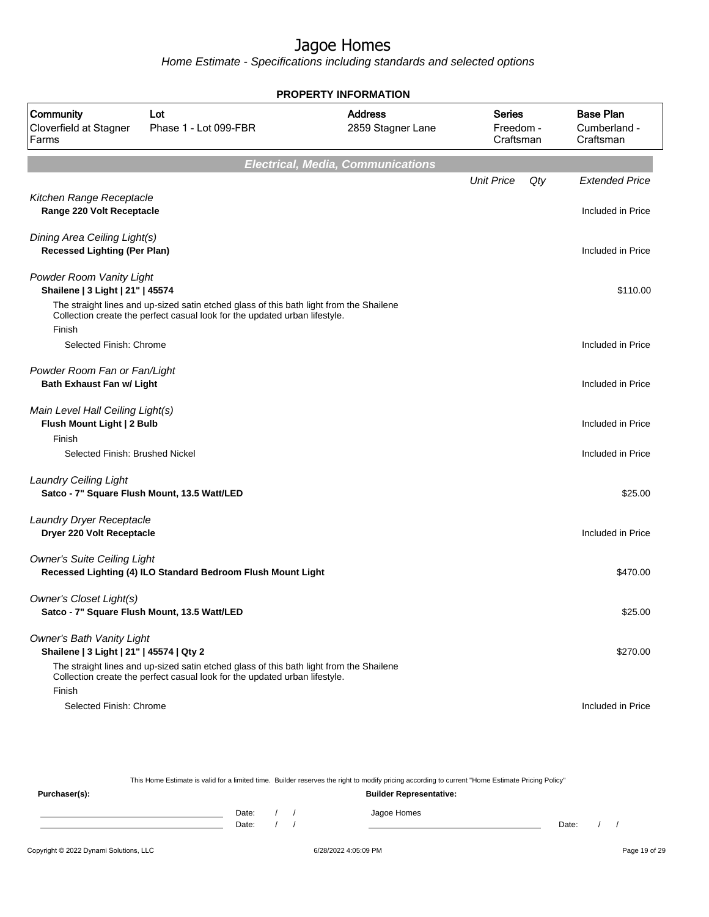Home Estimate - Specifications including standards and selected options

| <b>PROPERTY INFORMATION</b>                                                  |                                                                                                                                                                       |                                          |                                  |                                               |  |  |  |
|------------------------------------------------------------------------------|-----------------------------------------------------------------------------------------------------------------------------------------------------------------------|------------------------------------------|----------------------------------|-----------------------------------------------|--|--|--|
| Community<br>Cloverfield at Stagner<br>Farms                                 | Lot<br>Phase 1 - Lot 099-FBR                                                                                                                                          | <b>Address</b><br>2859 Stagner Lane      | Series<br>Freedom -<br>Craftsman | <b>Base Plan</b><br>Cumberland -<br>Craftsman |  |  |  |
|                                                                              |                                                                                                                                                                       | <b>Electrical, Media, Communications</b> |                                  |                                               |  |  |  |
|                                                                              |                                                                                                                                                                       |                                          | <b>Unit Price</b><br>Qty         | <b>Extended Price</b>                         |  |  |  |
| Kitchen Range Receptacle<br>Range 220 Volt Receptacle                        |                                                                                                                                                                       |                                          |                                  | Included in Price                             |  |  |  |
| Dining Area Ceiling Light(s)<br><b>Recessed Lighting (Per Plan)</b>          |                                                                                                                                                                       |                                          |                                  | Included in Price                             |  |  |  |
| Powder Room Vanity Light<br>Shailene   3 Light   21"   45574                 |                                                                                                                                                                       |                                          |                                  | \$110.00                                      |  |  |  |
| Finish                                                                       | The straight lines and up-sized satin etched glass of this bath light from the Shailene<br>Collection create the perfect casual look for the updated urban lifestyle. |                                          |                                  |                                               |  |  |  |
| Selected Finish: Chrome                                                      |                                                                                                                                                                       |                                          |                                  | Included in Price                             |  |  |  |
| Powder Room Fan or Fan/Light<br><b>Bath Exhaust Fan w/ Light</b>             |                                                                                                                                                                       |                                          |                                  | Included in Price                             |  |  |  |
| Main Level Hall Ceiling Light(s)<br>Flush Mount Light   2 Bulb               |                                                                                                                                                                       |                                          |                                  | Included in Price                             |  |  |  |
| Finish<br>Selected Finish: Brushed Nickel                                    |                                                                                                                                                                       |                                          |                                  | Included in Price                             |  |  |  |
| <b>Laundry Ceiling Light</b>                                                 | Satco - 7" Square Flush Mount, 13.5 Watt/LED                                                                                                                          |                                          |                                  | \$25.00                                       |  |  |  |
| Laundry Dryer Receptacle<br>Dryer 220 Volt Receptacle                        |                                                                                                                                                                       |                                          |                                  | Included in Price                             |  |  |  |
| <b>Owner's Suite Ceiling Light</b>                                           | Recessed Lighting (4) ILO Standard Bedroom Flush Mount Light                                                                                                          |                                          |                                  | \$470.00                                      |  |  |  |
| Owner's Closet Light(s)                                                      | Satco - 7" Square Flush Mount, 13.5 Watt/LED                                                                                                                          |                                          |                                  | \$25.00                                       |  |  |  |
| <b>Owner's Bath Vanity Light</b><br>Shailene   3 Light   21"   45574   Qty 2 |                                                                                                                                                                       |                                          |                                  | \$270.00                                      |  |  |  |
| Finish                                                                       | The straight lines and up-sized satin etched glass of this bath light from the Shailene<br>Collection create the perfect casual look for the updated urban lifestyle. |                                          |                                  |                                               |  |  |  |
| Selected Finish: Chrome                                                      |                                                                                                                                                                       |                                          |                                  | Included in Price                             |  |  |  |

This Home Estimate is valid for a limited time. Builder reserves the right to modify pricing according to current "Home Estimate Pricing Policy"

**Purchaser(s): Builder Representative:** Date: / / Jagoe Homes<br>Date: / / Jagoe Homes Date: / / Date: / /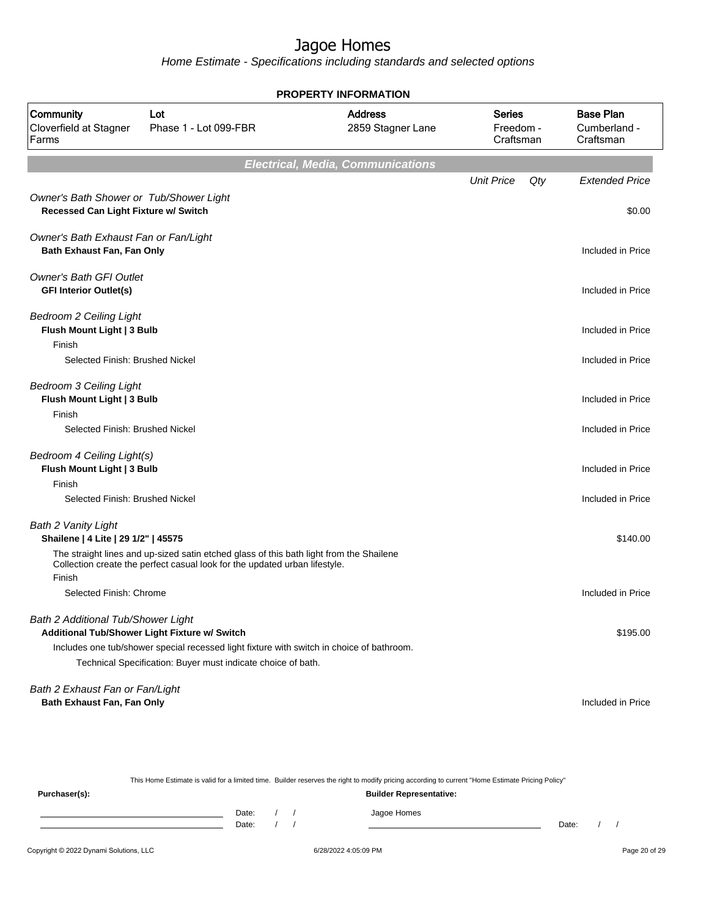Home Estimate - Specifications including standards and selected options

| <b>PROPERTY INFORMATION</b>                                                            |                                                                                                                                                                       |                                          |                                  |                                               |  |  |  |  |
|----------------------------------------------------------------------------------------|-----------------------------------------------------------------------------------------------------------------------------------------------------------------------|------------------------------------------|----------------------------------|-----------------------------------------------|--|--|--|--|
| Community<br>Cloverfield at Stagner<br>Farms                                           | Lot<br>Phase 1 - Lot 099-FBR                                                                                                                                          | <b>Address</b><br>2859 Stagner Lane      | Series<br>Freedom -<br>Craftsman | <b>Base Plan</b><br>Cumberland -<br>Craftsman |  |  |  |  |
|                                                                                        |                                                                                                                                                                       | <b>Electrical, Media, Communications</b> |                                  |                                               |  |  |  |  |
|                                                                                        |                                                                                                                                                                       |                                          | <b>Unit Price</b><br>Qty         | <b>Extended Price</b>                         |  |  |  |  |
| Owner's Bath Shower or Tub/Shower Light<br><b>Recessed Can Light Fixture w/ Switch</b> |                                                                                                                                                                       |                                          |                                  | \$0.00                                        |  |  |  |  |
| Owner's Bath Exhaust Fan or Fan/Light<br>Bath Exhaust Fan, Fan Only                    |                                                                                                                                                                       |                                          |                                  | Included in Price                             |  |  |  |  |
| <b>Owner's Bath GFI Outlet</b><br><b>GFI Interior Outlet(s)</b>                        |                                                                                                                                                                       |                                          |                                  | Included in Price                             |  |  |  |  |
| <b>Bedroom 2 Ceiling Light</b><br>Flush Mount Light   3 Bulb                           |                                                                                                                                                                       |                                          |                                  | Included in Price                             |  |  |  |  |
| Finish<br>Selected Finish: Brushed Nickel                                              |                                                                                                                                                                       |                                          |                                  | Included in Price                             |  |  |  |  |
| <b>Bedroom 3 Ceiling Light</b><br>Flush Mount Light   3 Bulb                           |                                                                                                                                                                       |                                          |                                  | Included in Price                             |  |  |  |  |
| Finish                                                                                 |                                                                                                                                                                       |                                          |                                  |                                               |  |  |  |  |
| Selected Finish: Brushed Nickel                                                        |                                                                                                                                                                       |                                          |                                  | Included in Price                             |  |  |  |  |
| Bedroom 4 Ceiling Light(s)<br>Flush Mount Light   3 Bulb                               |                                                                                                                                                                       |                                          |                                  | Included in Price                             |  |  |  |  |
| Finish                                                                                 |                                                                                                                                                                       |                                          |                                  |                                               |  |  |  |  |
| Selected Finish: Brushed Nickel                                                        |                                                                                                                                                                       |                                          |                                  | Included in Price                             |  |  |  |  |
| <b>Bath 2 Vanity Light</b><br>Shailene   4 Lite   29 1/2"   45575                      |                                                                                                                                                                       |                                          |                                  | \$140.00                                      |  |  |  |  |
| Finish                                                                                 | The straight lines and up-sized satin etched glass of this bath light from the Shailene<br>Collection create the perfect casual look for the updated urban lifestyle. |                                          |                                  |                                               |  |  |  |  |
| Selected Finish: Chrome                                                                |                                                                                                                                                                       |                                          |                                  | Included in Price                             |  |  |  |  |
|                                                                                        |                                                                                                                                                                       |                                          |                                  |                                               |  |  |  |  |
| Bath 2 Additional Tub/Shower Light                                                     |                                                                                                                                                                       |                                          |                                  |                                               |  |  |  |  |
|                                                                                        | Additional Tub/Shower Light Fixture w/ Switch                                                                                                                         |                                          |                                  | \$195.00                                      |  |  |  |  |
|                                                                                        | Includes one tub/shower special recessed light fixture with switch in choice of bathroom.<br>Technical Specification: Buyer must indicate choice of bath.             |                                          |                                  |                                               |  |  |  |  |
|                                                                                        |                                                                                                                                                                       |                                          |                                  |                                               |  |  |  |  |
| Bath 2 Exhaust Fan or Fan/Light<br>Bath Exhaust Fan, Fan Only                          |                                                                                                                                                                       |                                          |                                  | Included in Price                             |  |  |  |  |

This Home Estimate is valid for a limited time. Builder reserves the right to modify pricing according to current "Home Estimate Pricing Policy"

**Purchaser(s): Builder Representative:** Date: / / Jagoe Homes<br>Date: / / Jagoe Homes Date: / / Date: / /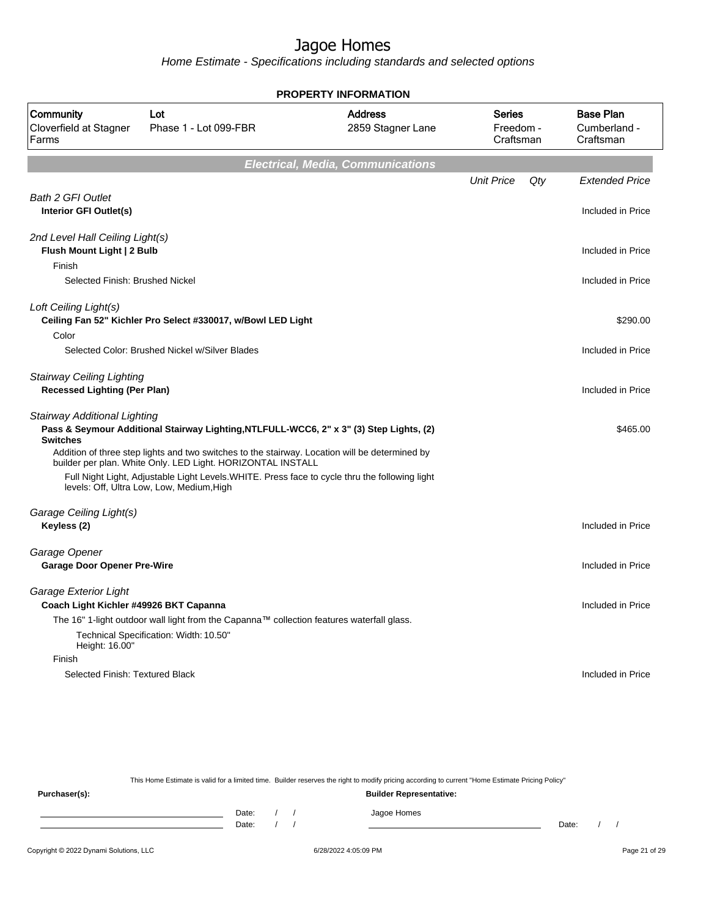Home Estimate - Specifications including standards and selected options

| <b>PROPERTY INFORMATION</b>                                                       |                                                                                                                                                                                                                                                                                                              |                                          |                                  |                                               |  |  |  |  |  |
|-----------------------------------------------------------------------------------|--------------------------------------------------------------------------------------------------------------------------------------------------------------------------------------------------------------------------------------------------------------------------------------------------------------|------------------------------------------|----------------------------------|-----------------------------------------------|--|--|--|--|--|
| Community<br>Lot<br>Cloverfield at Stagner<br>Phase 1 - Lot 099-FBR<br>Farms      |                                                                                                                                                                                                                                                                                                              | <b>Address</b><br>2859 Stagner Lane      | Series<br>Freedom -<br>Craftsman | <b>Base Plan</b><br>Cumberland -<br>Craftsman |  |  |  |  |  |
|                                                                                   |                                                                                                                                                                                                                                                                                                              | <b>Electrical, Media, Communications</b> |                                  |                                               |  |  |  |  |  |
|                                                                                   |                                                                                                                                                                                                                                                                                                              |                                          | <b>Unit Price</b><br>Qty         | <b>Extended Price</b>                         |  |  |  |  |  |
| <b>Bath 2 GFI Outlet</b><br>Interior GFI Outlet(s)                                |                                                                                                                                                                                                                                                                                                              |                                          |                                  | Included in Price                             |  |  |  |  |  |
| 2nd Level Hall Ceiling Light(s)<br>Flush Mount Light   2 Bulb<br>Finish           |                                                                                                                                                                                                                                                                                                              |                                          |                                  | Included in Price                             |  |  |  |  |  |
| Selected Finish: Brushed Nickel                                                   |                                                                                                                                                                                                                                                                                                              |                                          |                                  | Included in Price                             |  |  |  |  |  |
| Loft Ceiling Light(s)<br>Color                                                    | Ceiling Fan 52" Kichler Pro Select #330017, w/Bowl LED Light                                                                                                                                                                                                                                                 |                                          |                                  | \$290.00                                      |  |  |  |  |  |
|                                                                                   | Selected Color: Brushed Nickel w/Silver Blades                                                                                                                                                                                                                                                               |                                          |                                  | Included in Price                             |  |  |  |  |  |
| <b>Stairway Ceiling Lighting</b><br><b>Recessed Lighting (Per Plan)</b>           |                                                                                                                                                                                                                                                                                                              |                                          |                                  | Included in Price                             |  |  |  |  |  |
| <b>Stairway Additional Lighting</b><br><b>Switches</b>                            | Pass & Seymour Additional Stairway Lighting, NTLFULL-WCC6, 2" x 3" (3) Step Lights, (2)                                                                                                                                                                                                                      |                                          |                                  | \$465.00                                      |  |  |  |  |  |
|                                                                                   | Addition of three step lights and two switches to the stairway. Location will be determined by<br>builder per plan. White Only. LED Light. HORIZONTAL INSTALL<br>Full Night Light, Adjustable Light Levels. WHITE. Press face to cycle thru the following light<br>levels: Off, Ultra Low, Low, Medium, High |                                          |                                  |                                               |  |  |  |  |  |
| Garage Ceiling Light(s)<br>Keyless (2)                                            |                                                                                                                                                                                                                                                                                                              |                                          |                                  | Included in Price                             |  |  |  |  |  |
| Garage Opener<br><b>Garage Door Opener Pre-Wire</b>                               |                                                                                                                                                                                                                                                                                                              |                                          |                                  | Included in Price                             |  |  |  |  |  |
| Garage Exterior Light<br>Coach Light Kichler #49926 BKT Capanna<br>Height: 16.00" | The 16" 1-light outdoor wall light from the Capanna™ collection features waterfall glass.<br>Technical Specification: Width: 10.50"                                                                                                                                                                          |                                          |                                  | Included in Price                             |  |  |  |  |  |
| Finish                                                                            |                                                                                                                                                                                                                                                                                                              |                                          |                                  |                                               |  |  |  |  |  |
| Selected Finish: Textured Black                                                   |                                                                                                                                                                                                                                                                                                              |                                          |                                  | Included in Price                             |  |  |  |  |  |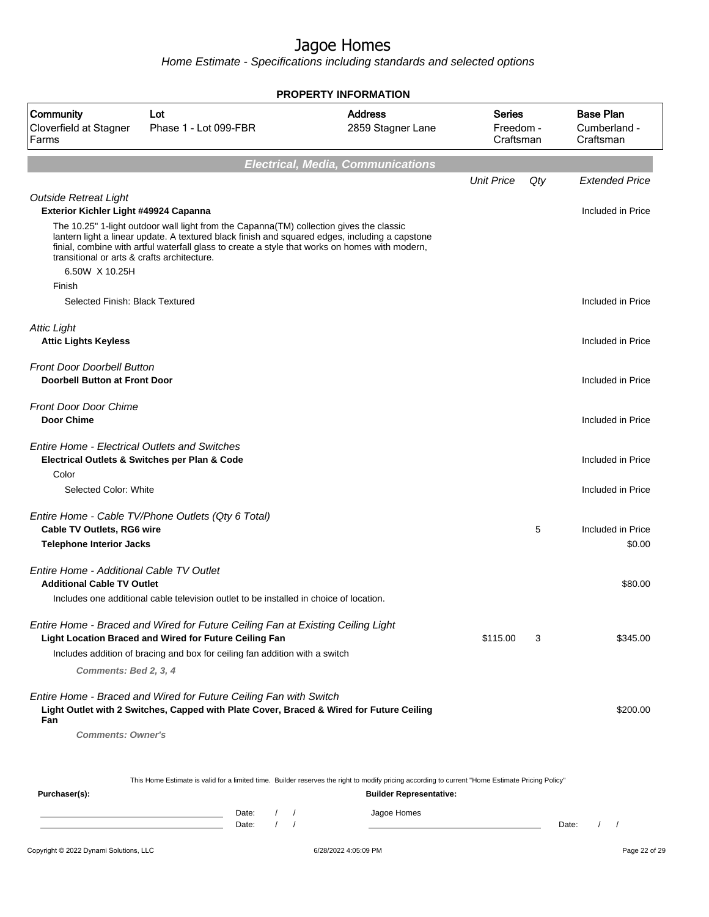Home Estimate - Specifications including standards and selected options

|                                                                                                                                        | <b>PROPERTY INFORMATION</b>                                                                                                                                                                                                                                                                 |                                               |                                         |     |                                               |  |  |  |  |  |
|----------------------------------------------------------------------------------------------------------------------------------------|---------------------------------------------------------------------------------------------------------------------------------------------------------------------------------------------------------------------------------------------------------------------------------------------|-----------------------------------------------|-----------------------------------------|-----|-----------------------------------------------|--|--|--|--|--|
| Community<br>Cloverfield at Stagner<br>Farms                                                                                           | Lot<br>Phase 1 - Lot 099-FBR                                                                                                                                                                                                                                                                | <b>Address</b><br>2859 Stagner Lane           | <b>Series</b><br>Freedom -<br>Craftsman |     | <b>Base Plan</b><br>Cumberland -<br>Craftsman |  |  |  |  |  |
| <b>Electrical, Media, Communications</b>                                                                                               |                                                                                                                                                                                                                                                                                             |                                               |                                         |     |                                               |  |  |  |  |  |
|                                                                                                                                        |                                                                                                                                                                                                                                                                                             |                                               | <b>Unit Price</b>                       | Qty | <b>Extended Price</b>                         |  |  |  |  |  |
| <b>Outside Retreat Light</b><br>Exterior Kichler Light #49924 Capanna<br>transitional or arts & crafts architecture.<br>6.50W X 10.25H | The 10.25" 1-light outdoor wall light from the Capanna(TM) collection gives the classic<br>lantern light a linear update. A textured black finish and squared edges, including a capstone<br>finial, combine with artful waterfall glass to create a style that works on homes with modern, |                                               |                                         |     | Included in Price                             |  |  |  |  |  |
| Finish<br>Selected Finish: Black Textured                                                                                              |                                                                                                                                                                                                                                                                                             |                                               |                                         |     | Included in Price                             |  |  |  |  |  |
| <b>Attic Light</b><br><b>Attic Lights Keyless</b>                                                                                      |                                                                                                                                                                                                                                                                                             |                                               |                                         |     | Included in Price                             |  |  |  |  |  |
| <b>Front Door Doorbell Button</b><br><b>Doorbell Button at Front Door</b>                                                              |                                                                                                                                                                                                                                                                                             |                                               |                                         |     | Included in Price                             |  |  |  |  |  |
| <b>Front Door Door Chime</b><br><b>Door Chime</b>                                                                                      |                                                                                                                                                                                                                                                                                             |                                               |                                         |     | Included in Price                             |  |  |  |  |  |
| <b>Entire Home - Electrical Outlets and Switches</b><br>Color                                                                          | Electrical Outlets & Switches per Plan & Code                                                                                                                                                                                                                                               |                                               |                                         |     | Included in Price                             |  |  |  |  |  |
| Selected Color: White                                                                                                                  |                                                                                                                                                                                                                                                                                             |                                               |                                         |     | Included in Price                             |  |  |  |  |  |
| <b>Cable TV Outlets, RG6 wire</b><br><b>Telephone Interior Jacks</b>                                                                   | Entire Home - Cable TV/Phone Outlets (Qty 6 Total)                                                                                                                                                                                                                                          |                                               |                                         | 5   | Included in Price<br>\$0.00                   |  |  |  |  |  |
| Entire Home - Additional Cable TV Outlet<br><b>Additional Cable TV Outlet</b>                                                          | Includes one additional cable television outlet to be installed in choice of location.                                                                                                                                                                                                      |                                               |                                         |     | \$80.00                                       |  |  |  |  |  |
| Comments: Bed 2, 3, 4                                                                                                                  | Entire Home - Braced and Wired for Future Ceiling Fan at Existing Ceiling Light<br>Light Location Braced and Wired for Future Ceiling Fan<br>Includes addition of bracing and box for ceiling fan addition with a switch                                                                    |                                               | \$115.00                                | 3   | \$345.00                                      |  |  |  |  |  |
| Fan                                                                                                                                    | Entire Home - Braced and Wired for Future Ceiling Fan with Switch<br>Light Outlet with 2 Switches, Capped with Plate Cover, Braced & Wired for Future Ceiling                                                                                                                               |                                               |                                         |     | \$200.00                                      |  |  |  |  |  |
| <b>Comments: Owner's</b>                                                                                                               |                                                                                                                                                                                                                                                                                             |                                               |                                         |     |                                               |  |  |  |  |  |
|                                                                                                                                        | This Home Estimate is valid for a limited time. Builder reserves the right to modify pricing according to current "Home Estimate Pricing Policy"                                                                                                                                            |                                               |                                         |     |                                               |  |  |  |  |  |
| Purchaser(s):                                                                                                                          | Date:                                                                                                                                                                                                                                                                                       | <b>Builder Representative:</b><br>Jagoe Homes |                                         |     |                                               |  |  |  |  |  |
|                                                                                                                                        | $1 \quad 1$<br>Date:                                                                                                                                                                                                                                                                        |                                               |                                         |     | $1 \quad 1$<br>Date:                          |  |  |  |  |  |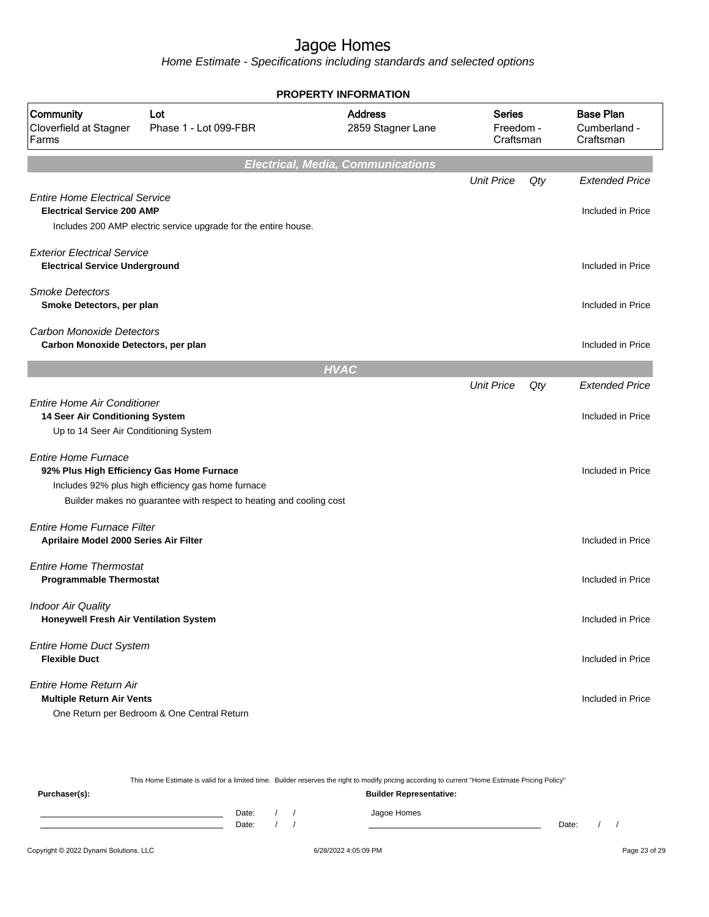Home Estimate - Specifications including standards and selected options

| <b>PROPERTY INFORMATION</b>                                                                                    |                                                                                                                           |                                          |                                  |     |                                               |  |  |  |
|----------------------------------------------------------------------------------------------------------------|---------------------------------------------------------------------------------------------------------------------------|------------------------------------------|----------------------------------|-----|-----------------------------------------------|--|--|--|
| Community<br>Cloverfield at Stagner<br>Farms                                                                   | Lot<br>Phase 1 - Lot 099-FBR                                                                                              | <b>Address</b><br>2859 Stagner Lane      | Series<br>Freedom -<br>Craftsman |     | <b>Base Plan</b><br>Cumberland -<br>Craftsman |  |  |  |
|                                                                                                                |                                                                                                                           | <b>Electrical, Media, Communications</b> |                                  |     |                                               |  |  |  |
|                                                                                                                |                                                                                                                           |                                          | <b>Unit Price</b>                | Qty | <b>Extended Price</b>                         |  |  |  |
| <b>Entire Home Electrical Service</b><br><b>Electrical Service 200 AMP</b>                                     | Includes 200 AMP electric service upgrade for the entire house.                                                           |                                          |                                  |     | Included in Price                             |  |  |  |
| <b>Exterior Electrical Service</b><br><b>Electrical Service Underground</b>                                    |                                                                                                                           |                                          |                                  |     | Included in Price                             |  |  |  |
| <b>Smoke Detectors</b><br>Smoke Detectors, per plan                                                            |                                                                                                                           |                                          |                                  |     | Included in Price                             |  |  |  |
| <b>Carbon Monoxide Detectors</b><br>Carbon Monoxide Detectors, per plan                                        |                                                                                                                           |                                          |                                  |     | Included in Price                             |  |  |  |
|                                                                                                                |                                                                                                                           | <b>HVAC</b>                              |                                  |     |                                               |  |  |  |
|                                                                                                                |                                                                                                                           |                                          | <b>Unit Price</b>                | Qty | <b>Extended Price</b>                         |  |  |  |
| <b>Entire Home Air Conditioner</b><br>14 Seer Air Conditioning System<br>Up to 14 Seer Air Conditioning System |                                                                                                                           |                                          |                                  |     | Included in Price                             |  |  |  |
| <b>Entire Home Furnace</b><br>92% Plus High Efficiency Gas Home Furnace                                        | Includes 92% plus high efficiency gas home furnace<br>Builder makes no guarantee with respect to heating and cooling cost |                                          |                                  |     | Included in Price                             |  |  |  |
| <b>Entire Home Furnace Filter</b><br>Aprilaire Model 2000 Series Air Filter                                    |                                                                                                                           |                                          |                                  |     | Included in Price                             |  |  |  |
| <b>Entire Home Thermostat</b><br><b>Programmable Thermostat</b>                                                |                                                                                                                           |                                          |                                  |     | Included in Price                             |  |  |  |
| <b>Indoor Air Quality</b><br>Honeywell Fresh Air Ventilation System                                            |                                                                                                                           |                                          |                                  |     | Included in Price                             |  |  |  |
| <b>Entire Home Duct System</b><br><b>Flexible Duct</b>                                                         |                                                                                                                           |                                          |                                  |     | Included in Price                             |  |  |  |
| Entire Home Return Air<br><b>Multiple Return Air Vents</b>                                                     | One Return per Bedroom & One Central Return                                                                               |                                          |                                  |     | Included in Price                             |  |  |  |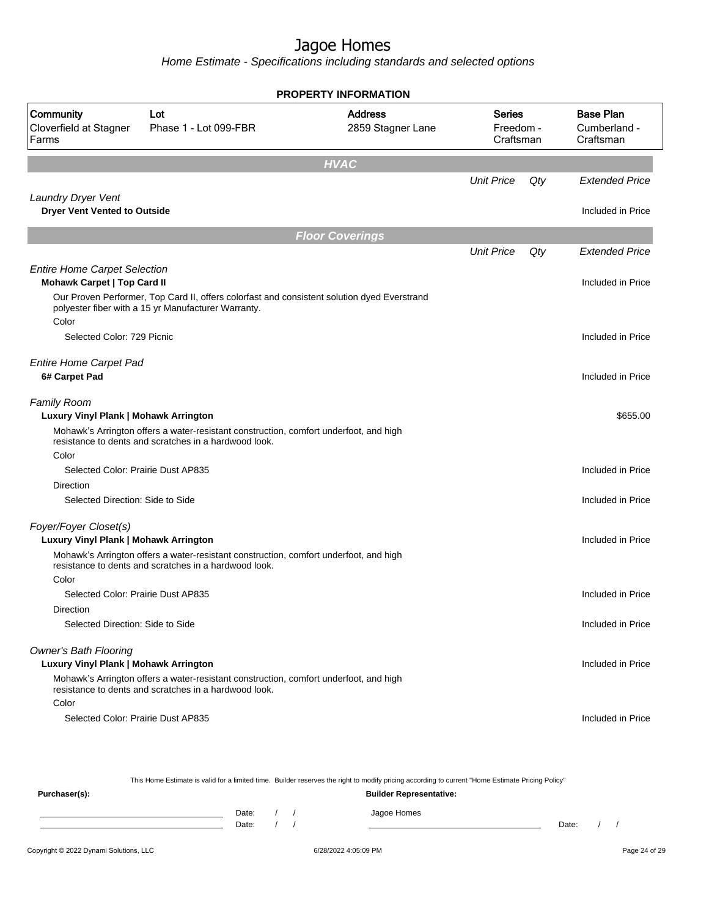Home Estimate - Specifications including standards and selected options

| <b>PROPERTY INFORMATION</b>                                               |                                                                                                                                                    |                                     |                                         |     |                                               |  |  |  |  |
|---------------------------------------------------------------------------|----------------------------------------------------------------------------------------------------------------------------------------------------|-------------------------------------|-----------------------------------------|-----|-----------------------------------------------|--|--|--|--|
| Community<br>Cloverfield at Stagner<br>Farms                              | Lot<br>Phase 1 - Lot 099-FBR                                                                                                                       | <b>Address</b><br>2859 Stagner Lane | <b>Series</b><br>Freedom -<br>Craftsman |     | <b>Base Plan</b><br>Cumberland -<br>Craftsman |  |  |  |  |
|                                                                           |                                                                                                                                                    | <b>HVAC</b>                         |                                         |     |                                               |  |  |  |  |
|                                                                           |                                                                                                                                                    |                                     | <b>Unit Price</b>                       | Qty | <b>Extended Price</b>                         |  |  |  |  |
| Laundry Dryer Vent<br><b>Dryer Vent Vented to Outside</b>                 |                                                                                                                                                    |                                     |                                         |     | Included in Price                             |  |  |  |  |
|                                                                           |                                                                                                                                                    | <b>Floor Coverings</b>              |                                         |     |                                               |  |  |  |  |
|                                                                           |                                                                                                                                                    |                                     | <b>Unit Price</b>                       | Qty | <b>Extended Price</b>                         |  |  |  |  |
| <b>Entire Home Carpet Selection</b><br><b>Mohawk Carpet   Top Card II</b> |                                                                                                                                                    |                                     |                                         |     | Included in Price                             |  |  |  |  |
| Color                                                                     | Our Proven Performer, Top Card II, offers colorfast and consistent solution dyed Everstrand<br>polyester fiber with a 15 yr Manufacturer Warranty. |                                     |                                         |     |                                               |  |  |  |  |
| Selected Color: 729 Picnic                                                |                                                                                                                                                    |                                     |                                         |     | Included in Price                             |  |  |  |  |
| <b>Entire Home Carpet Pad</b><br>6# Carpet Pad                            |                                                                                                                                                    |                                     |                                         |     | Included in Price                             |  |  |  |  |
| Family Room<br>Luxury Vinyl Plank   Mohawk Arrington                      | Mohawk's Arrington offers a water-resistant construction, comfort underfoot, and high<br>resistance to dents and scratches in a hardwood look.     |                                     |                                         |     | \$655.00                                      |  |  |  |  |
| Color                                                                     |                                                                                                                                                    |                                     |                                         |     |                                               |  |  |  |  |
| Selected Color: Prairie Dust AP835                                        |                                                                                                                                                    |                                     |                                         |     | Included in Price                             |  |  |  |  |
| <b>Direction</b>                                                          |                                                                                                                                                    |                                     |                                         |     |                                               |  |  |  |  |
| Selected Direction: Side to Side                                          |                                                                                                                                                    |                                     |                                         |     | Included in Price                             |  |  |  |  |
| Foyer/Foyer Closet(s)<br>Luxury Vinyl Plank   Mohawk Arrington            |                                                                                                                                                    |                                     |                                         |     | Included in Price                             |  |  |  |  |
|                                                                           | Mohawk's Arrington offers a water-resistant construction, comfort underfoot, and high<br>resistance to dents and scratches in a hardwood look.     |                                     |                                         |     |                                               |  |  |  |  |
| Color                                                                     |                                                                                                                                                    |                                     |                                         |     |                                               |  |  |  |  |
| Selected Color: Prairie Dust AP835                                        |                                                                                                                                                    |                                     |                                         |     | Included in Price                             |  |  |  |  |
| <b>Direction</b>                                                          |                                                                                                                                                    |                                     |                                         |     |                                               |  |  |  |  |
| Selected Direction: Side to Side                                          |                                                                                                                                                    |                                     |                                         |     | Included in Price                             |  |  |  |  |
| <b>Owner's Bath Flooring</b><br>Luxury Vinyl Plank   Mohawk Arrington     | Mohawk's Arrington offers a water-resistant construction, comfort underfoot, and high                                                              |                                     |                                         |     | Included in Price                             |  |  |  |  |
|                                                                           | resistance to dents and scratches in a hardwood look.                                                                                              |                                     |                                         |     |                                               |  |  |  |  |
| Color<br>Selected Color: Prairie Dust AP835                               |                                                                                                                                                    |                                     |                                         |     | Included in Price                             |  |  |  |  |
|                                                                           |                                                                                                                                                    |                                     |                                         |     |                                               |  |  |  |  |

This Home Estimate is valid for a limited time. Builder reserves the right to modify pricing according to current "Home Estimate Pricing Policy"

**Purchaser(s): Builder Representative:** Date: / / Jagoe Homes<br>Date: / / Jagoe Homes Date: / / Date: / /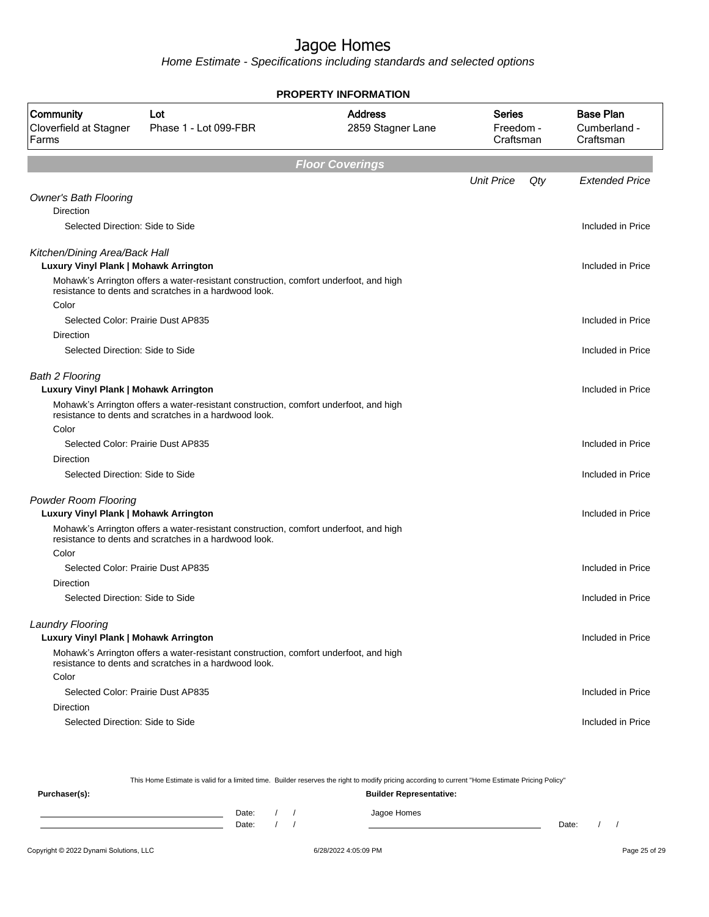Home Estimate - Specifications including standards and selected options

| <b>PROPERTY INFORMATION</b>                   |                                                                                                                                                |                                     |                                         |                                               |  |  |  |  |
|-----------------------------------------------|------------------------------------------------------------------------------------------------------------------------------------------------|-------------------------------------|-----------------------------------------|-----------------------------------------------|--|--|--|--|
| Community<br>Cloverfield at Stagner<br>Farms  | Lot<br>Phase 1 - Lot 099-FBR                                                                                                                   | <b>Address</b><br>2859 Stagner Lane | <b>Series</b><br>Freedom -<br>Craftsman | <b>Base Plan</b><br>Cumberland -<br>Craftsman |  |  |  |  |
|                                               |                                                                                                                                                | <b>Floor Coverings</b>              |                                         |                                               |  |  |  |  |
|                                               |                                                                                                                                                |                                     | <b>Unit Price</b>                       | Qty<br><b>Extended Price</b>                  |  |  |  |  |
| <b>Owner's Bath Flooring</b>                  |                                                                                                                                                |                                     |                                         |                                               |  |  |  |  |
| Direction                                     |                                                                                                                                                |                                     |                                         |                                               |  |  |  |  |
| Selected Direction: Side to Side              |                                                                                                                                                |                                     |                                         | Included in Price                             |  |  |  |  |
| Kitchen/Dining Area/Back Hall                 |                                                                                                                                                |                                     |                                         |                                               |  |  |  |  |
| Luxury Vinyl Plank   Mohawk Arrington         |                                                                                                                                                |                                     |                                         | Included in Price                             |  |  |  |  |
|                                               | Mohawk's Arrington offers a water-resistant construction, comfort underfoot, and high<br>resistance to dents and scratches in a hardwood look. |                                     |                                         |                                               |  |  |  |  |
| Color                                         |                                                                                                                                                |                                     |                                         |                                               |  |  |  |  |
| Selected Color: Prairie Dust AP835            |                                                                                                                                                |                                     |                                         | Included in Price                             |  |  |  |  |
| Direction<br>Selected Direction: Side to Side |                                                                                                                                                |                                     |                                         | Included in Price                             |  |  |  |  |
|                                               |                                                                                                                                                |                                     |                                         |                                               |  |  |  |  |
| <b>Bath 2 Flooring</b>                        |                                                                                                                                                |                                     |                                         |                                               |  |  |  |  |
| Luxury Vinyl Plank   Mohawk Arrington         |                                                                                                                                                |                                     |                                         | Included in Price                             |  |  |  |  |
|                                               | Mohawk's Arrington offers a water-resistant construction, comfort underfoot, and high<br>resistance to dents and scratches in a hardwood look. |                                     |                                         |                                               |  |  |  |  |
| Color                                         |                                                                                                                                                |                                     |                                         |                                               |  |  |  |  |
| Selected Color: Prairie Dust AP835            |                                                                                                                                                |                                     |                                         | Included in Price                             |  |  |  |  |
| Direction                                     |                                                                                                                                                |                                     |                                         |                                               |  |  |  |  |
| Selected Direction: Side to Side              |                                                                                                                                                |                                     |                                         | Included in Price                             |  |  |  |  |
| <b>Powder Room Flooring</b>                   |                                                                                                                                                |                                     |                                         |                                               |  |  |  |  |
| Luxury Vinyl Plank   Mohawk Arrington         |                                                                                                                                                |                                     |                                         | Included in Price                             |  |  |  |  |
|                                               | Mohawk's Arrington offers a water-resistant construction, comfort underfoot, and high<br>resistance to dents and scratches in a hardwood look. |                                     |                                         |                                               |  |  |  |  |
| Color                                         |                                                                                                                                                |                                     |                                         |                                               |  |  |  |  |
| Selected Color: Prairie Dust AP835            |                                                                                                                                                |                                     |                                         | Included in Price                             |  |  |  |  |
| Direction                                     |                                                                                                                                                |                                     |                                         |                                               |  |  |  |  |
| Selected Direction: Side to Side              |                                                                                                                                                |                                     |                                         | Included in Price                             |  |  |  |  |
| Laundry Flooring                              |                                                                                                                                                |                                     |                                         |                                               |  |  |  |  |
| Luxury Vinyl Plank   Mohawk Arrington         |                                                                                                                                                |                                     |                                         | Included in Price                             |  |  |  |  |
|                                               | Mohawk's Arrington offers a water-resistant construction, comfort underfoot, and high<br>resistance to dents and scratches in a hardwood look. |                                     |                                         |                                               |  |  |  |  |
| Color                                         |                                                                                                                                                |                                     |                                         |                                               |  |  |  |  |
| Selected Color: Prairie Dust AP835            |                                                                                                                                                |                                     |                                         | Included in Price                             |  |  |  |  |
| Direction                                     |                                                                                                                                                |                                     |                                         |                                               |  |  |  |  |
| Selected Direction: Side to Side              |                                                                                                                                                |                                     |                                         | Included in Price                             |  |  |  |  |
|                                               |                                                                                                                                                |                                     |                                         |                                               |  |  |  |  |

This Home Estimate is valid for a limited time. Builder reserves the right to modify pricing according to current "Home Estimate Pricing Policy"

| Purchaser(s): |                |  | <b>Builder Representative:</b> |       |  |
|---------------|----------------|--|--------------------------------|-------|--|
|               | Date:<br>Date: |  | Jagoe Homes                    | Date: |  |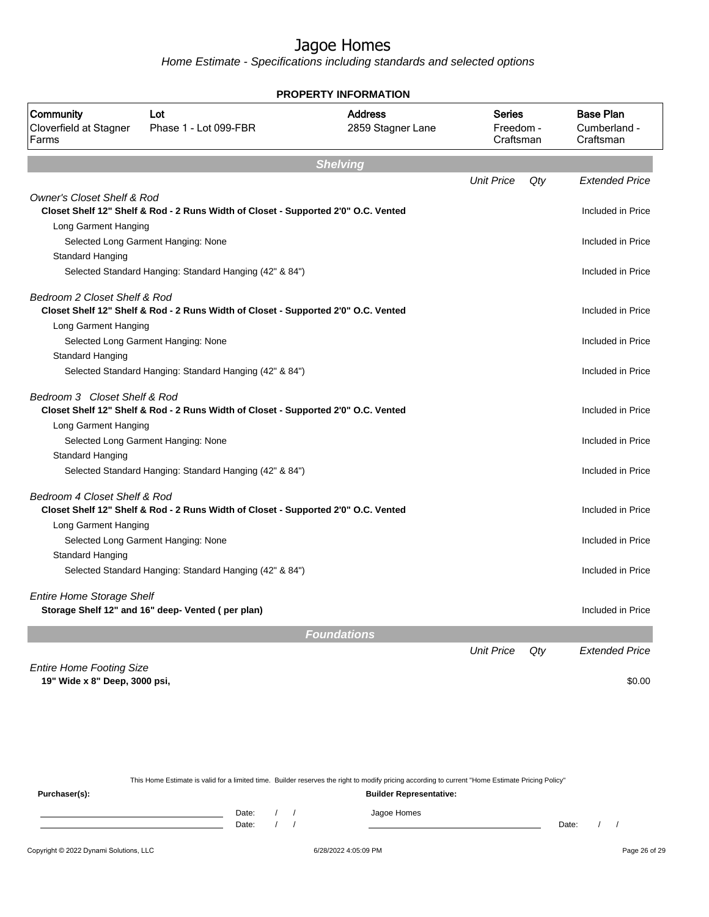Home Estimate - Specifications including standards and selected options

|                                              |                                                                                    | <b>PROPERTY INFORMATION</b>         |                                         |     |                                               |
|----------------------------------------------|------------------------------------------------------------------------------------|-------------------------------------|-----------------------------------------|-----|-----------------------------------------------|
| Community<br>Cloverfield at Stagner<br>Farms | Lot<br>Phase 1 - Lot 099-FBR                                                       | <b>Address</b><br>2859 Stagner Lane | <b>Series</b><br>Freedom -<br>Craftsman |     | <b>Base Plan</b><br>Cumberland -<br>Craftsman |
|                                              |                                                                                    | <b>Shelving</b>                     |                                         |     |                                               |
|                                              |                                                                                    |                                     | <b>Unit Price</b>                       | Qty | <b>Extended Price</b>                         |
| <b>Owner's Closet Shelf &amp; Rod</b>        |                                                                                    |                                     |                                         |     |                                               |
|                                              | Closet Shelf 12" Shelf & Rod - 2 Runs Width of Closet - Supported 2'0" O.C. Vented |                                     |                                         |     | Included in Price                             |
| Long Garment Hanging                         |                                                                                    |                                     |                                         |     |                                               |
|                                              | Selected Long Garment Hanging: None                                                |                                     |                                         |     | Included in Price                             |
| Standard Hanging                             |                                                                                    |                                     |                                         |     |                                               |
|                                              | Selected Standard Hanging: Standard Hanging (42" & 84")                            |                                     |                                         |     | Included in Price                             |
| Bedroom 2 Closet Shelf & Rod                 |                                                                                    |                                     |                                         |     |                                               |
|                                              | Closet Shelf 12" Shelf & Rod - 2 Runs Width of Closet - Supported 2'0" O.C. Vented |                                     |                                         |     | Included in Price                             |
| Long Garment Hanging                         |                                                                                    |                                     |                                         |     |                                               |
|                                              | Selected Long Garment Hanging: None                                                |                                     |                                         |     | Included in Price                             |
| Standard Hanging                             |                                                                                    |                                     |                                         |     |                                               |
|                                              | Selected Standard Hanging: Standard Hanging (42" & 84")                            |                                     |                                         |     | Included in Price                             |
| Bedroom 3 Closet Shelf & Rod                 | Closet Shelf 12" Shelf & Rod - 2 Runs Width of Closet - Supported 2'0" O.C. Vented |                                     |                                         |     | Included in Price                             |
| Long Garment Hanging                         |                                                                                    |                                     |                                         |     |                                               |
|                                              | Selected Long Garment Hanging: None                                                |                                     |                                         |     | Included in Price                             |
| Standard Hanging                             |                                                                                    |                                     |                                         |     |                                               |
|                                              | Selected Standard Hanging: Standard Hanging (42" & 84")                            |                                     |                                         |     | Included in Price                             |
| Bedroom 4 Closet Shelf & Rod                 |                                                                                    |                                     |                                         |     |                                               |
|                                              | Closet Shelf 12" Shelf & Rod - 2 Runs Width of Closet - Supported 2'0" O.C. Vented |                                     |                                         |     | Included in Price                             |
| Long Garment Hanging                         |                                                                                    |                                     |                                         |     |                                               |
|                                              | Selected Long Garment Hanging: None                                                |                                     |                                         |     | Included in Price                             |
| Standard Hanging                             |                                                                                    |                                     |                                         |     |                                               |
|                                              | Selected Standard Hanging: Standard Hanging (42" & 84")                            |                                     |                                         |     | Included in Price                             |
| <b>Entire Home Storage Shelf</b>             |                                                                                    |                                     |                                         |     |                                               |
|                                              | Storage Shelf 12" and 16" deep- Vented (per plan)                                  |                                     |                                         |     | Included in Price                             |
|                                              |                                                                                    | <b>Foundations</b>                  |                                         |     |                                               |
|                                              |                                                                                    |                                     | <b>Unit Price</b>                       | Qty | <b>Extended Price</b>                         |
| <b>Entire Home Footing Size</b>              |                                                                                    |                                     |                                         |     |                                               |
| 19" Wide x 8" Deep, 3000 psi,                |                                                                                    |                                     |                                         |     | \$0.00                                        |
|                                              |                                                                                    |                                     |                                         |     |                                               |

**PROPERTY INFORMATION**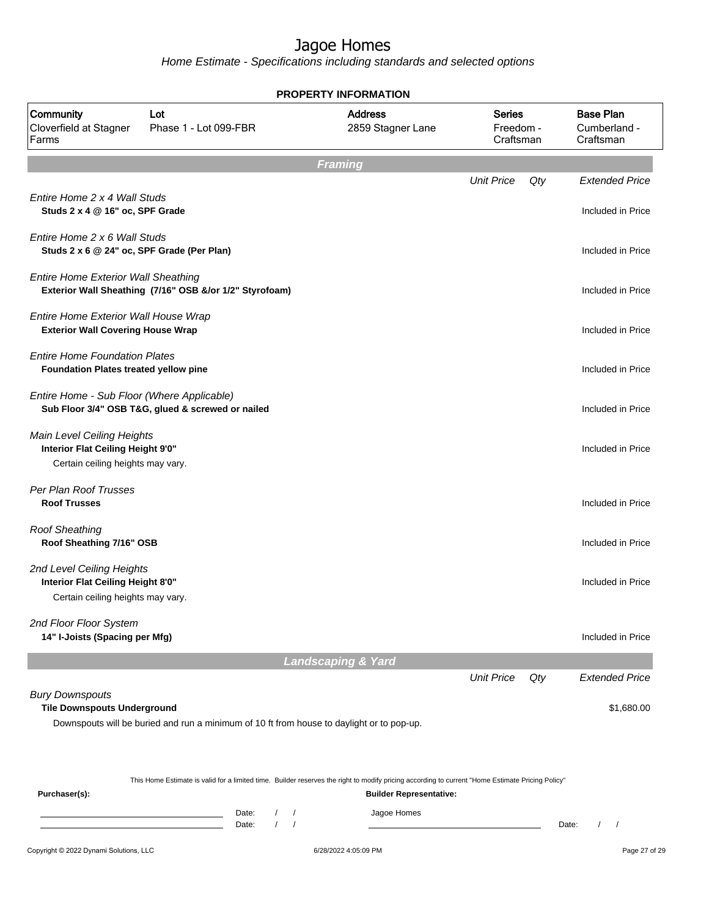Home Estimate - Specifications including standards and selected options

| <b>PROPERTY INFORMATION</b>                                                      |                                                                                           |                                     |                                         |     |                                               |  |  |
|----------------------------------------------------------------------------------|-------------------------------------------------------------------------------------------|-------------------------------------|-----------------------------------------|-----|-----------------------------------------------|--|--|
| Community<br>Cloverfield at Stagner<br>Farms                                     | Lot<br>Phase 1 - Lot 099-FBR                                                              | <b>Address</b><br>2859 Stagner Lane | <b>Series</b><br>Freedom -<br>Craftsman |     | <b>Base Plan</b><br>Cumberland -<br>Craftsman |  |  |
|                                                                                  |                                                                                           | <b>Framing</b>                      |                                         |     |                                               |  |  |
|                                                                                  |                                                                                           |                                     | <b>Unit Price</b>                       | Qty | <b>Extended Price</b>                         |  |  |
| Entire Home 2 x 4 Wall Studs<br>Studs 2 x 4 @ 16" oc, SPF Grade                  |                                                                                           |                                     |                                         |     | Included in Price                             |  |  |
| Entire Home 2 x 6 Wall Studs<br>Studs 2 x 6 @ 24" oc, SPF Grade (Per Plan)       |                                                                                           |                                     |                                         |     | Included in Price                             |  |  |
| <b>Entire Home Exterior Wall Sheathing</b>                                       | Exterior Wall Sheathing (7/16" OSB &/or 1/2" Styrofoam)                                   |                                     |                                         |     | Included in Price                             |  |  |
| Entire Home Exterior Wall House Wrap<br><b>Exterior Wall Covering House Wrap</b> |                                                                                           |                                     |                                         |     | Included in Price                             |  |  |
| <b>Entire Home Foundation Plates</b><br>Foundation Plates treated yellow pine    |                                                                                           |                                     |                                         |     | Included in Price                             |  |  |
| Entire Home - Sub Floor (Where Applicable)                                       | Sub Floor 3/4" OSB T&G, glued & screwed or nailed                                         |                                     |                                         |     | Included in Price                             |  |  |
| Main Level Ceiling Heights<br>Interior Flat Ceiling Height 9'0"                  |                                                                                           |                                     |                                         |     | Included in Price                             |  |  |
| Certain ceiling heights may vary.                                                |                                                                                           |                                     |                                         |     |                                               |  |  |
| Per Plan Roof Trusses<br><b>Roof Trusses</b>                                     |                                                                                           |                                     |                                         |     | Included in Price                             |  |  |
| <b>Roof Sheathing</b><br>Roof Sheathing 7/16" OSB                                |                                                                                           |                                     |                                         |     | Included in Price                             |  |  |
| 2nd Level Ceiling Heights<br>Interior Flat Ceiling Height 8'0"                   |                                                                                           |                                     |                                         |     | Included in Price                             |  |  |
| Certain ceiling heights may vary.                                                |                                                                                           |                                     |                                         |     |                                               |  |  |
| 2nd Floor Floor System<br>14" I-Joists (Spacing per Mfg)                         |                                                                                           |                                     |                                         |     | Included in Price                             |  |  |
|                                                                                  |                                                                                           | <b>Landscaping &amp; Yard</b>       |                                         |     |                                               |  |  |
|                                                                                  |                                                                                           |                                     | <b>Unit Price</b>                       | Qty | <b>Extended Price</b>                         |  |  |
| <b>Bury Downspouts</b><br><b>Tile Downspouts Underground</b>                     |                                                                                           |                                     |                                         |     | \$1,680.00                                    |  |  |
|                                                                                  | Downspouts will be buried and run a minimum of 10 ft from house to daylight or to pop-up. |                                     |                                         |     |                                               |  |  |

This Home Estimate is valid for a limited time. Builder reserves the right to modify pricing according to current "Home Estimate Pricing Policy"

**Purchaser(s): Builder Representative:** Date: / / Jagoe Homes<br>Date: / / Jagoe Homes Date: / /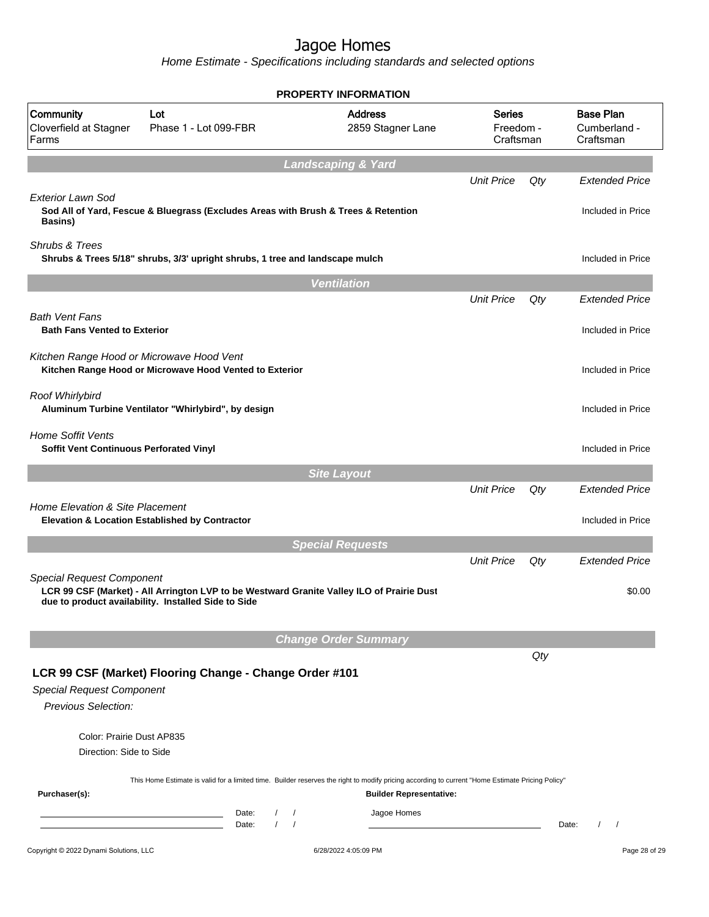Home Estimate - Specifications including standards and selected options

|                                                                            |                                                                                                                                                  | <b>PROPERTY INFORMATION</b>         |                                         |     |                                               |
|----------------------------------------------------------------------------|--------------------------------------------------------------------------------------------------------------------------------------------------|-------------------------------------|-----------------------------------------|-----|-----------------------------------------------|
| Community<br>Cloverfield at Stagner<br>Farms                               | Lot<br>Phase 1 - Lot 099-FBR                                                                                                                     | <b>Address</b><br>2859 Stagner Lane | <b>Series</b><br>Freedom -<br>Craftsman |     | <b>Base Plan</b><br>Cumberland -<br>Craftsman |
|                                                                            |                                                                                                                                                  | <b>Landscaping &amp; Yard</b>       |                                         |     |                                               |
|                                                                            |                                                                                                                                                  |                                     | <b>Unit Price</b>                       | Qty | <b>Extended Price</b>                         |
| Exterior Lawn Sod<br><b>Basins</b> )                                       | Sod All of Yard, Fescue & Bluegrass (Excludes Areas with Brush & Trees & Retention                                                               |                                     |                                         |     | Included in Price                             |
| Shrubs & Trees                                                             | Shrubs & Trees 5/18" shrubs, 3/3' upright shrubs, 1 tree and landscape mulch                                                                     |                                     |                                         |     | Included in Price                             |
|                                                                            |                                                                                                                                                  | <b>Ventilation</b>                  |                                         |     |                                               |
|                                                                            |                                                                                                                                                  |                                     | <b>Unit Price</b>                       | Qty | <b>Extended Price</b>                         |
| <b>Bath Vent Fans</b><br><b>Bath Fans Vented to Exterior</b>               |                                                                                                                                                  |                                     |                                         |     | Included in Price                             |
| Kitchen Range Hood or Microwave Hood Vent                                  | Kitchen Range Hood or Microwave Hood Vented to Exterior                                                                                          |                                     |                                         |     | Included in Price                             |
| Roof Whirlybird                                                            | Aluminum Turbine Ventilator "Whirlybird", by design                                                                                              |                                     |                                         |     | Included in Price                             |
| <b>Home Soffit Vents</b><br><b>Soffit Vent Continuous Perforated Vinyl</b> |                                                                                                                                                  |                                     |                                         |     | Included in Price                             |
|                                                                            |                                                                                                                                                  | <b>Site Layout</b>                  |                                         |     |                                               |
|                                                                            |                                                                                                                                                  |                                     | <b>Unit Price</b>                       | Qty | <b>Extended Price</b>                         |
| Home Elevation & Site Placement                                            | <b>Elevation &amp; Location Established by Contractor</b>                                                                                        |                                     |                                         |     | Included in Price                             |
|                                                                            |                                                                                                                                                  | <b>Special Requests</b>             |                                         |     |                                               |
|                                                                            |                                                                                                                                                  |                                     | <b>Unit Price</b>                       | Qty | <b>Extended Price</b>                         |
| <b>Special Request Component</b>                                           | LCR 99 CSF (Market) - All Arrington LVP to be Westward Granite Valley ILO of Prairie Dust<br>due to product availability. Installed Side to Side |                                     |                                         |     | \$0.00                                        |
|                                                                            |                                                                                                                                                  | <b>Change Order Summary</b>         |                                         |     |                                               |
|                                                                            |                                                                                                                                                  |                                     |                                         | Qty |                                               |
| <b>Special Request Component</b><br>Previous Selection:                    | LCR 99 CSF (Market) Flooring Change - Change Order #101                                                                                          |                                     |                                         |     |                                               |
| Color: Prairie Dust AP835<br>Direction: Side to Side                       |                                                                                                                                                  |                                     |                                         |     |                                               |
| Purchaser(s):                                                              | This Home Estimate is valid for a limited time. Builder reserves the right to modify pricing according to current "Home Estimate Pricing Policy" | <b>Builder Representative:</b>      |                                         |     |                                               |
|                                                                            | Date:<br>$\prime$<br>$\sqrt{2}$<br>the control of the control of the control of the control of<br>$\sqrt{ }$<br>Date:                            | Jagoe Homes                         |                                         |     | Date:<br>$\prime$<br>$\prime$                 |
| Copyright © 2022 Dynami Solutions, LLC                                     |                                                                                                                                                  | 6/28/2022 4:05:09 PM                |                                         |     | Page 28 of 29                                 |